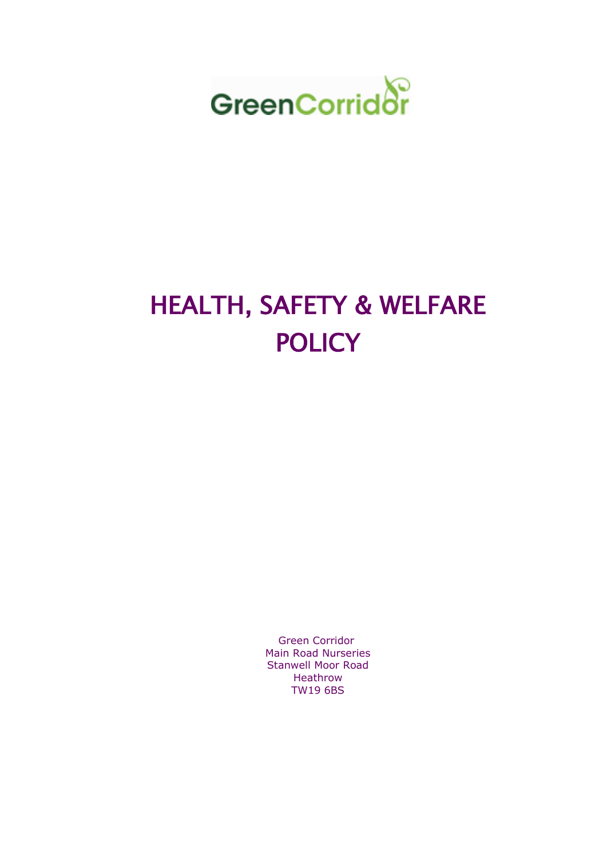

# HEALTH, SAFETY & WELFARE **POLICY**

Green Corridor Main Road Nurseries Stanwell Moor Road Heathrow TW19 6BS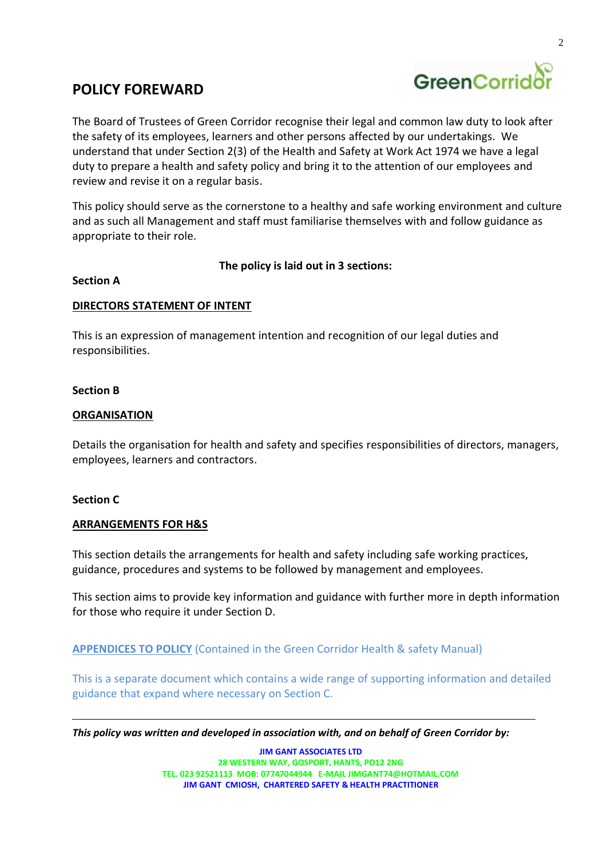

# **POLICY FOREWARD**

The Board of Trustees of Green Corridor recognise their legal and common law duty to look after the safety of its employees, learners and other persons affected by our undertakings. We understand that under Section 2(3) of the Health and Safety at Work Act 1974 we have a legal duty to prepare a health and safety policy and bring it to the attention of our employees and review and revise it on a regular basis.

This policy should serve as the cornerstone to a healthy and safe working environment and culture and as such all Management and staff must familiarise themselves with and follow guidance as appropriate to their role.

**The policy is laid out in 3 sections:**

#### **Section A**

#### **DIRECTORS STATEMENT OF INTENT**

This is an expression of management intention and recognition of our legal duties and responsibilities.

#### **Section B**

### **ORGANISATION**

Details the organisation for health and safety and specifies responsibilities of directors, managers, employees, learners and contractors.

#### **Section C**

#### **ARRANGEMENTS FOR H&S**

This section details the arrangements for health and safety including safe working practices, guidance, procedures and systems to be followed by management and employees.

This section aims to provide key information and guidance with further more in depth information for those who require it under Section D.

**APPENDICES TO POLICY** (Contained in the Green Corridor Health & safety Manual)

This is a separate document which contains a wide range of supporting information and detailed guidance that expand where necessary on Section C.

*This policy was written and developed in association with, and on behalf of Green Corridor by:*

**JIM GANT ASSOCIATES LTD 28 WESTERN WAY, GOSPORT, HANTS, PO12 2NG TEL. 023 92521113 MOB: 07747044944 E-MAI[L JIMGANT74@HOTMAIL.COM](mailto:JIMGANT74@HOTMAIL.COM)  JIM GANT CMIOSH, CHARTERED SAFETY & HEALTH PRACTITIONER**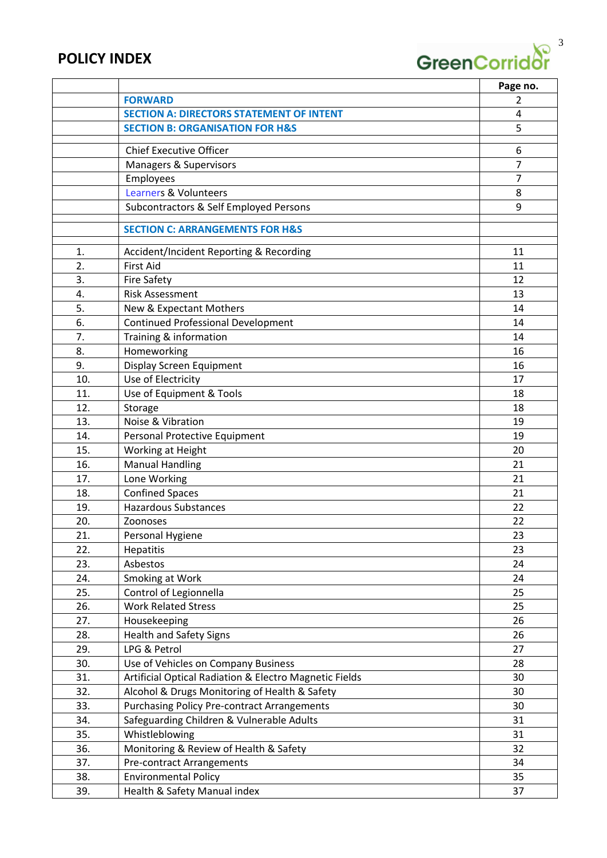# **POLICY INDEX**

.

GreenCorridor<sup>3</sup>

|     |                                                        | Page no.       |
|-----|--------------------------------------------------------|----------------|
|     | <b>FORWARD</b>                                         | $\mathcal{P}$  |
|     | <b>SECTION A: DIRECTORS STATEMENT OF INTENT</b>        | 4              |
|     | <b>SECTION B: ORGANISATION FOR H&amp;S</b>             | 5              |
|     |                                                        |                |
|     | <b>Chief Executive Officer</b>                         | 6              |
|     | Managers & Supervisors                                 | $\overline{7}$ |
|     | Employees                                              | 7              |
|     | <b>Learners &amp; Volunteers</b>                       | 8              |
|     | Subcontractors & Self Employed Persons                 | 9              |
|     | <b>SECTION C: ARRANGEMENTS FOR H&amp;S</b>             |                |
| 1.  | Accident/Incident Reporting & Recording                | 11             |
| 2.  | <b>First Aid</b>                                       | 11             |
| 3.  | <b>Fire Safety</b>                                     | 12             |
| 4.  | <b>Risk Assessment</b>                                 | 13             |
| 5.  | New & Expectant Mothers                                | 14             |
| 6.  | <b>Continued Professional Development</b>              | 14             |
| 7.  | Training & information                                 | 14             |
| 8.  | Homeworking                                            | 16             |
| 9.  | Display Screen Equipment                               | 16             |
| 10. | Use of Electricity                                     | 17             |
| 11. | Use of Equipment & Tools                               | 18             |
| 12. | Storage                                                | 18             |
| 13. | Noise & Vibration                                      | 19             |
| 14. | Personal Protective Equipment                          | 19             |
| 15. | Working at Height                                      | 20             |
| 16. | <b>Manual Handling</b>                                 | 21             |
| 17. | Lone Working                                           | 21             |
| 18. | <b>Confined Spaces</b>                                 | 21             |
| 19. | <b>Hazardous Substances</b>                            | 22             |
| 20. | Zoonoses                                               | 22             |
| 21. | Personal Hygiene                                       | 23             |
| 22. | <b>Hepatitis</b>                                       | 23             |
| 23. | Asbestos                                               | 24             |
| 24. | Smoking at Work                                        | 24             |
| 25. | Control of Legionnella                                 | 25             |
| 26. | <b>Work Related Stress</b>                             | 25             |
| 27. | Housekeeping                                           | 26             |
| 28. | <b>Health and Safety Signs</b>                         | 26             |
| 29. | LPG & Petrol                                           | 27             |
| 30. | Use of Vehicles on Company Business                    | 28             |
| 31. | Artificial Optical Radiation & Electro Magnetic Fields | 30             |
| 32. | Alcohol & Drugs Monitoring of Health & Safety          | 30             |
| 33. | <b>Purchasing Policy Pre-contract Arrangements</b>     | 30             |
| 34. | Safeguarding Children & Vulnerable Adults              | 31             |
| 35. | Whistleblowing                                         | 31             |
| 36. | Monitoring & Review of Health & Safety                 | 32             |
| 37. | Pre-contract Arrangements                              | 34             |
| 38. | <b>Environmental Policy</b>                            | 35             |
| 39. | Health & Safety Manual index                           | 37             |
|     |                                                        |                |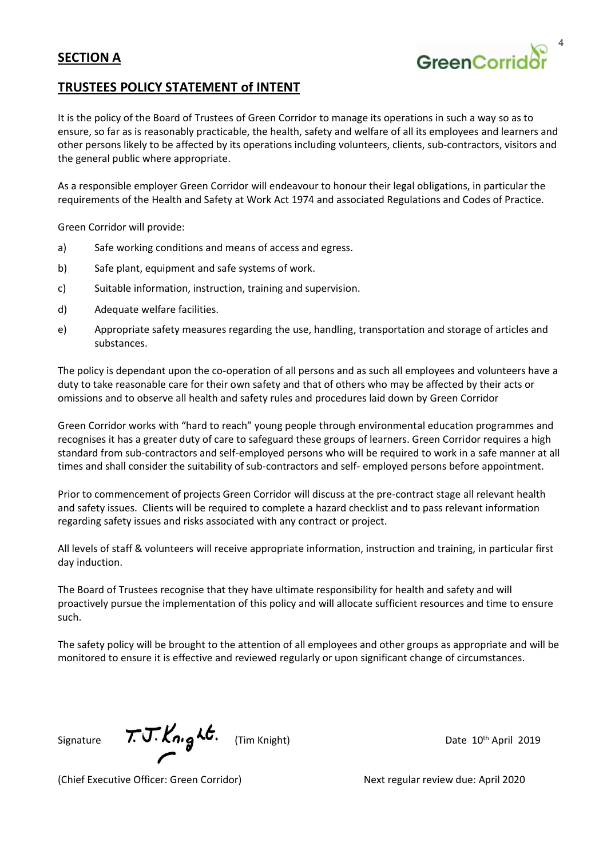# **SECTION A**

### **TRUSTEES POLICY STATEMENT of INTENT**

It is the policy of the Board of Trustees of Green Corridor to manage its operations in such a way so as to ensure, so far as is reasonably practicable, the health, safety and welfare of all its employees and learners and other persons likely to be affected by its operations including volunteers, clients, sub-contractors, visitors and the general public where appropriate.

As a responsible employer Green Corridor will endeavour to honour their legal obligations, in particular the requirements of the Health and Safety at Work Act 1974 and associated Regulations and Codes of Practice.

Green Corridor will provide:

- a) Safe working conditions and means of access and egress.
- b) Safe plant, equipment and safe systems of work.
- c) Suitable information, instruction, training and supervision.
- d) Adequate welfare facilities.
- e) Appropriate safety measures regarding the use, handling, transportation and storage of articles and substances.

The policy is dependant upon the co-operation of all persons and as such all employees and volunteers have a duty to take reasonable care for their own safety and that of others who may be affected by their acts or omissions and to observe all health and safety rules and procedures laid down by Green Corridor

Green Corridor works with "hard to reach" young people through environmental education programmes and recognises it has a greater duty of care to safeguard these groups of learners. Green Corridor requires a high standard from sub-contractors and self-employed persons who will be required to work in a safe manner at all times and shall consider the suitability of sub-contractors and self- employed persons before appointment.

Prior to commencement of projects Green Corridor will discuss at the pre-contract stage all relevant health and safety issues. Clients will be required to complete a hazard checklist and to pass relevant information regarding safety issues and risks associated with any contract or project.

All levels of staff & volunteers will receive appropriate information, instruction and training, in particular first day induction.

The Board of Trustees recognise that they have ultimate responsibility for health and safety and will proactively pursue the implementation of this policy and will allocate sufficient resources and time to ensure such.

The safety policy will be brought to the attention of all employees and other groups as appropriate and will be monitored to ensure it is effective and reviewed regularly or upon significant change of circumstances.

Signature  $\pi$ J.  $\mathcal{K}_{n}$ ,  $\mathcal{L}_{\sigma}$ . (Tim Knight)

Date 10<sup>th</sup> April 2019

(Chief Executive Officer: Green Corridor) Next regular review due: April 2020

GreenCorrio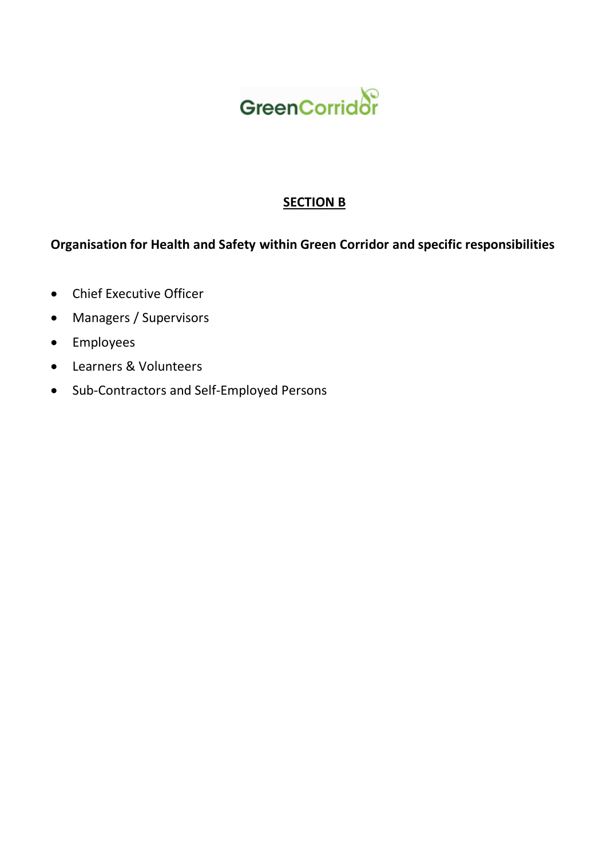

# **SECTION B**

# **Organisation for Health and Safety within Green Corridor and specific responsibilities**

- Chief Executive Officer
- Managers / Supervisors
- Employees
- Learners & Volunteers
- Sub-Contractors and Self-Employed Persons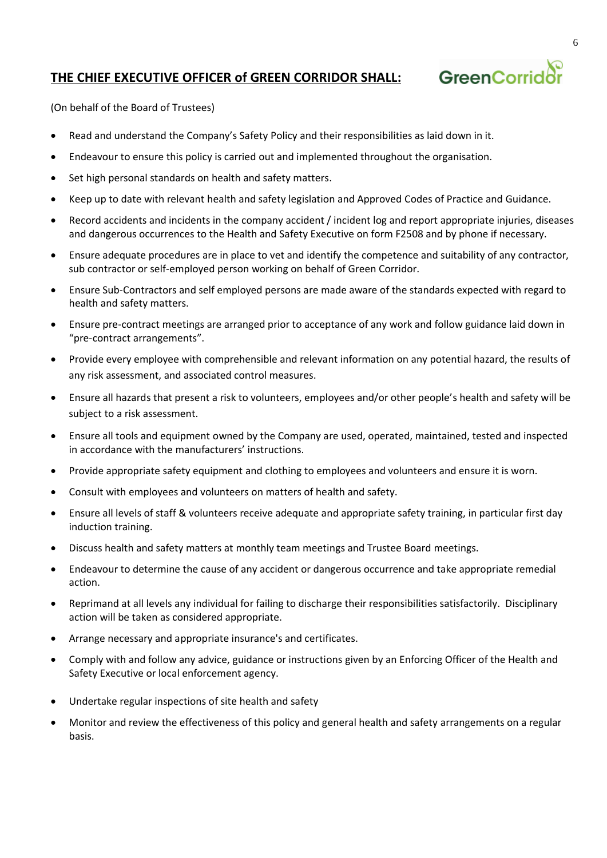# **THE CHIEF EXECUTIVE OFFICER of GREEN CORRIDOR SHALL:**



(On behalf of the Board of Trustees)

- Read and understand the Company's Safety Policy and their responsibilities as laid down in it.
- Endeavour to ensure this policy is carried out and implemented throughout the organisation.
- Set high personal standards on health and safety matters.
- Keep up to date with relevant health and safety legislation and Approved Codes of Practice and Guidance.
- Record accidents and incidents in the company accident / incident log and report appropriate injuries, diseases and dangerous occurrences to the Health and Safety Executive on form F2508 and by phone if necessary.
- Ensure adequate procedures are in place to vet and identify the competence and suitability of any contractor, sub contractor or self-employed person working on behalf of Green Corridor.
- Ensure Sub-Contractors and self employed persons are made aware of the standards expected with regard to health and safety matters.
- Ensure pre-contract meetings are arranged prior to acceptance of any work and follow guidance laid down in "pre-contract arrangements".
- Provide every employee with comprehensible and relevant information on any potential hazard, the results of any risk assessment, and associated control measures.
- Ensure all hazards that present a risk to volunteers, employees and/or other people's health and safety will be subject to a risk assessment.
- Ensure all tools and equipment owned by the Company are used, operated, maintained, tested and inspected in accordance with the manufacturers' instructions.
- Provide appropriate safety equipment and clothing to employees and volunteers and ensure it is worn.
- Consult with employees and volunteers on matters of health and safety.
- Ensure all levels of staff & volunteers receive adequate and appropriate safety training, in particular first day induction training.
- Discuss health and safety matters at monthly team meetings and Trustee Board meetings.
- Endeavour to determine the cause of any accident or dangerous occurrence and take appropriate remedial action.
- Reprimand at all levels any individual for failing to discharge their responsibilities satisfactorily. Disciplinary action will be taken as considered appropriate.
- Arrange necessary and appropriate insurance's and certificates.
- Comply with and follow any advice, guidance or instructions given by an Enforcing Officer of the Health and Safety Executive or local enforcement agency.
- Undertake regular inspections of site health and safety
- Monitor and review the effectiveness of this policy and general health and safety arrangements on a regular basis.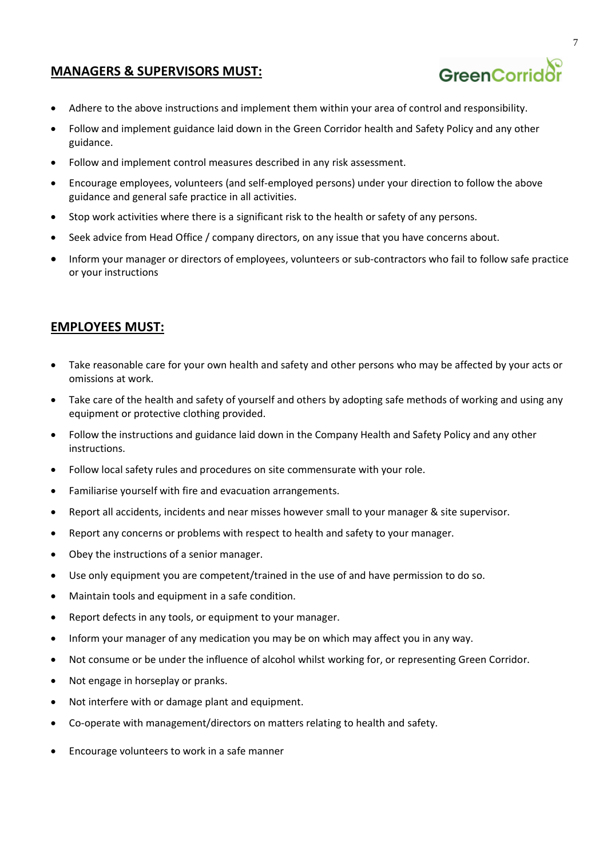## **MANAGERS & SUPERVISORS MUST:**



- Adhere to the above instructions and implement them within your area of control and responsibility.
- Follow and implement guidance laid down in the Green Corridor health and Safety Policy and any other guidance.
- Follow and implement control measures described in any risk assessment.
- Encourage employees, volunteers (and self-employed persons) under your direction to follow the above guidance and general safe practice in all activities.
- Stop work activities where there is a significant risk to the health or safety of any persons.
- Seek advice from Head Office / company directors, on any issue that you have concerns about.
- Inform your manager or directors of employees, volunteers or sub-contractors who fail to follow safe practice or your instructions

### **EMPLOYEES MUST:**

- Take reasonable care for your own health and safety and other persons who may be affected by your acts or omissions at work.
- Take care of the health and safety of yourself and others by adopting safe methods of working and using any equipment or protective clothing provided.
- Follow the instructions and guidance laid down in the Company Health and Safety Policy and any other instructions.
- Follow local safety rules and procedures on site commensurate with your role.
- Familiarise yourself with fire and evacuation arrangements.
- Report all accidents, incidents and near misses however small to your manager & site supervisor.
- Report any concerns or problems with respect to health and safety to your manager.
- Obey the instructions of a senior manager.
- Use only equipment you are competent/trained in the use of and have permission to do so.
- Maintain tools and equipment in a safe condition.
- Report defects in any tools, or equipment to your manager.
- Inform your manager of any medication you may be on which may affect you in any way.
- Not consume or be under the influence of alcohol whilst working for, or representing Green Corridor.
- Not engage in horseplay or pranks.
- Not interfere with or damage plant and equipment.
- Co-operate with management/directors on matters relating to health and safety.
- Encourage volunteers to work in a safe manner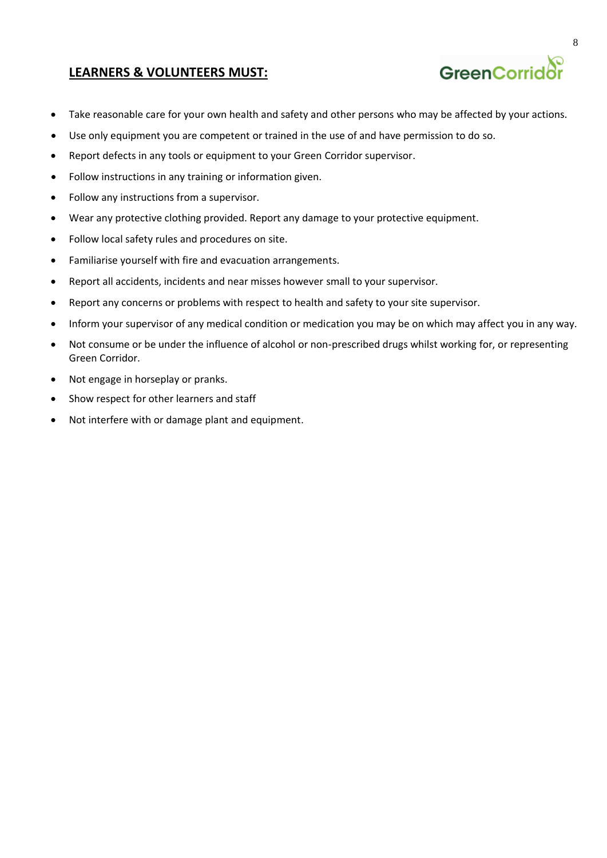### **LEARNERS & VOLUNTEERS MUST:**

- Take reasonable care for your own health and safety and other persons who may be affected by your actions.
- Use only equipment you are competent or trained in the use of and have permission to do so.
- Report defects in any tools or equipment to your Green Corridor supervisor.
- Follow instructions in any training or information given.
- Follow any instructions from a supervisor.
- Wear any protective clothing provided. Report any damage to your protective equipment.
- Follow local safety rules and procedures on site.
- Familiarise yourself with fire and evacuation arrangements.
- Report all accidents, incidents and near misses however small to your supervisor.
- Report any concerns or problems with respect to health and safety to your site supervisor.
- Inform your supervisor of any medical condition or medication you may be on which may affect you in any way.
- Not consume or be under the influence of alcohol or non-prescribed drugs whilst working for, or representing Green Corridor.
- Not engage in horseplay or pranks.
- Show respect for other learners and staff
- Not interfere with or damage plant and equipment.

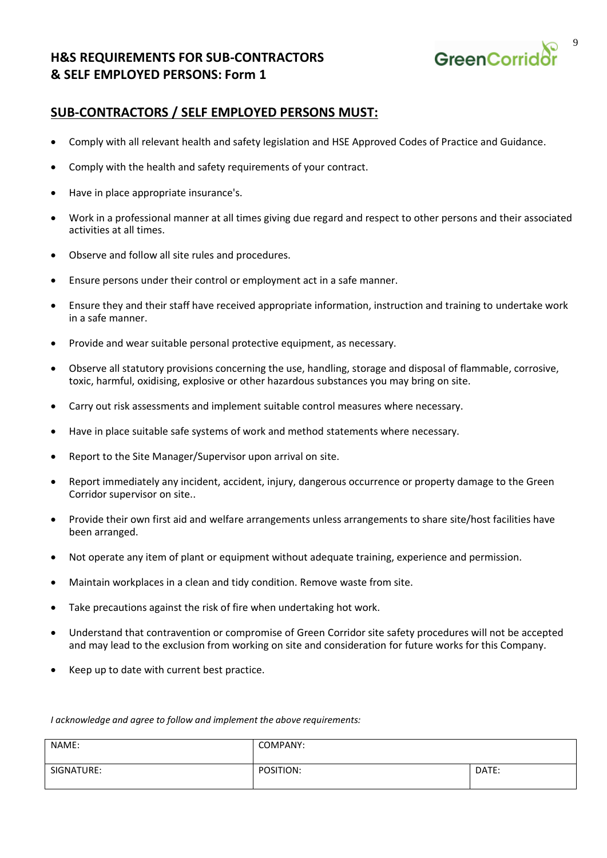# **H&S REQUIREMENTS FOR SUB-CONTRACTORS & SELF EMPLOYED PERSONS: Form 1**



### **SUB-CONTRACTORS / SELF EMPLOYED PERSONS MUST:**

- Comply with all relevant health and safety legislation and HSE Approved Codes of Practice and Guidance.
- Comply with the health and safety requirements of your contract.
- Have in place appropriate insurance's.
- Work in a professional manner at all times giving due regard and respect to other persons and their associated activities at all times.
- Observe and follow all site rules and procedures.
- Ensure persons under their control or employment act in a safe manner.
- Ensure they and their staff have received appropriate information, instruction and training to undertake work in a safe manner.
- Provide and wear suitable personal protective equipment, as necessary.
- Observe all statutory provisions concerning the use, handling, storage and disposal of flammable, corrosive, toxic, harmful, oxidising, explosive or other hazardous substances you may bring on site.
- Carry out risk assessments and implement suitable control measures where necessary.
- Have in place suitable safe systems of work and method statements where necessary.
- Report to the Site Manager/Supervisor upon arrival on site.
- Report immediately any incident, accident, injury, dangerous occurrence or property damage to the Green Corridor supervisor on site..
- Provide their own first aid and welfare arrangements unless arrangements to share site/host facilities have been arranged.
- Not operate any item of plant or equipment without adequate training, experience and permission.
- Maintain workplaces in a clean and tidy condition. Remove waste from site.
- Take precautions against the risk of fire when undertaking hot work.
- Understand that contravention or compromise of Green Corridor site safety procedures will not be accepted and may lead to the exclusion from working on site and consideration for future works for this Company.
- Keep up to date with current best practice.

*I acknowledge and agree to follow and implement the above requirements:* 

| NAME:      | COMPANY:  |       |
|------------|-----------|-------|
| SIGNATURE: | POSITION: | DATE: |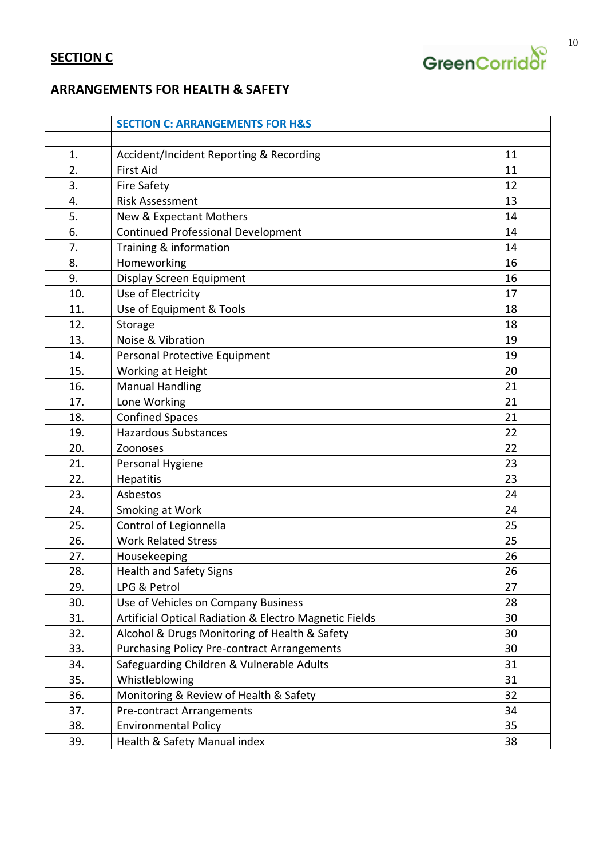

# **ARRANGEMENTS FOR HEALTH & SAFETY**

|                  | <b>SECTION C: ARRANGEMENTS FOR H&amp;S</b>             |    |
|------------------|--------------------------------------------------------|----|
|                  |                                                        |    |
| 1.               | Accident/Incident Reporting & Recording                | 11 |
| $\overline{2}$ . | <b>First Aid</b>                                       | 11 |
| 3.               | <b>Fire Safety</b>                                     | 12 |
| 4.               | <b>Risk Assessment</b>                                 | 13 |
| 5.               | New & Expectant Mothers                                | 14 |
| 6.               | <b>Continued Professional Development</b>              | 14 |
| 7.               | Training & information                                 | 14 |
| 8.               | Homeworking                                            | 16 |
| 9.               | Display Screen Equipment                               | 16 |
| 10.              | Use of Electricity                                     | 17 |
| 11.              | Use of Equipment & Tools                               | 18 |
| 12.              | Storage                                                | 18 |
| 13.              | Noise & Vibration                                      | 19 |
| 14.              | Personal Protective Equipment                          | 19 |
| 15.              | Working at Height                                      | 20 |
| 16.              | <b>Manual Handling</b>                                 | 21 |
| 17.              | Lone Working                                           | 21 |
| 18.              | <b>Confined Spaces</b>                                 | 21 |
| 19.              | <b>Hazardous Substances</b>                            | 22 |
| 20.              | Zoonoses                                               | 22 |
| 21.              | Personal Hygiene                                       | 23 |
| 22.              | Hepatitis                                              | 23 |
| 23.              | Asbestos                                               | 24 |
| 24.              | Smoking at Work                                        | 24 |
| 25.              | Control of Legionnella                                 | 25 |
| 26.              | <b>Work Related Stress</b>                             | 25 |
| 27.              | Housekeeping                                           | 26 |
| 28.              | <b>Health and Safety Signs</b>                         | 26 |
| 29.              | LPG & Petrol                                           | 27 |
| 30.              | Use of Vehicles on Company Business                    | 28 |
| 31.              | Artificial Optical Radiation & Electro Magnetic Fields | 30 |
| 32.              | Alcohol & Drugs Monitoring of Health & Safety          | 30 |
| 33.              | <b>Purchasing Policy Pre-contract Arrangements</b>     | 30 |
| 34.              | Safeguarding Children & Vulnerable Adults              | 31 |
| 35.              | Whistleblowing                                         | 31 |
| 36.              | Monitoring & Review of Health & Safety                 | 32 |
| 37.              | Pre-contract Arrangements                              | 34 |
| 38.              | <b>Environmental Policy</b>                            | 35 |
| 39.              | Health & Safety Manual index                           | 38 |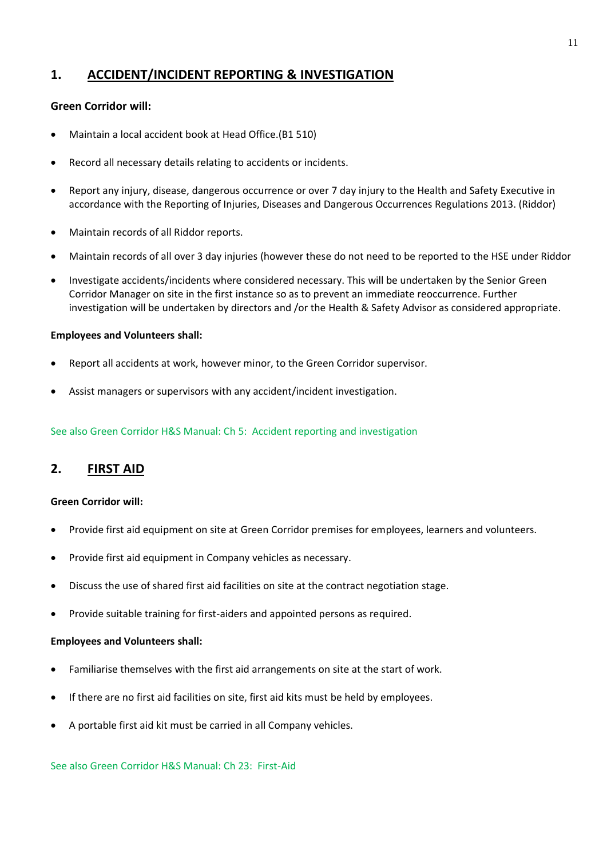# **1. ACCIDENT/INCIDENT REPORTING & INVESTIGATION**

#### **Green Corridor will:**

- Maintain a local accident book at Head Office.(B1 510)
- Record all necessary details relating to accidents or incidents.
- Report any injury, disease, dangerous occurrence or over 7 day injury to the Health and Safety Executive in accordance with the Reporting of Injuries, Diseases and Dangerous Occurrences Regulations 2013. (Riddor)
- Maintain records of all Riddor reports.
- Maintain records of all over 3 day injuries (however these do not need to be reported to the HSE under Riddor
- Investigate accidents/incidents where considered necessary. This will be undertaken by the Senior Green Corridor Manager on site in the first instance so as to prevent an immediate reoccurrence. Further investigation will be undertaken by directors and /or the Health & Safety Advisor as considered appropriate.

#### **Employees and Volunteers shall:**

- Report all accidents at work, however minor, to the Green Corridor supervisor.
- Assist managers or supervisors with any accident/incident investigation.

See also Green Corridor H&S Manual: Ch 5: Accident reporting and investigation

# **2. FIRST AID**

#### **Green Corridor will:**

- Provide first aid equipment on site at Green Corridor premises for employees, learners and volunteers.
- Provide first aid equipment in Company vehicles as necessary.
- Discuss the use of shared first aid facilities on site at the contract negotiation stage.
- Provide suitable training for first-aiders and appointed persons as required.

#### **Employees and Volunteers shall:**

- Familiarise themselves with the first aid arrangements on site at the start of work.
- If there are no first aid facilities on site, first aid kits must be held by employees.
- A portable first aid kit must be carried in all Company vehicles.

See also Green Corridor H&S Manual: Ch 23: First-Aid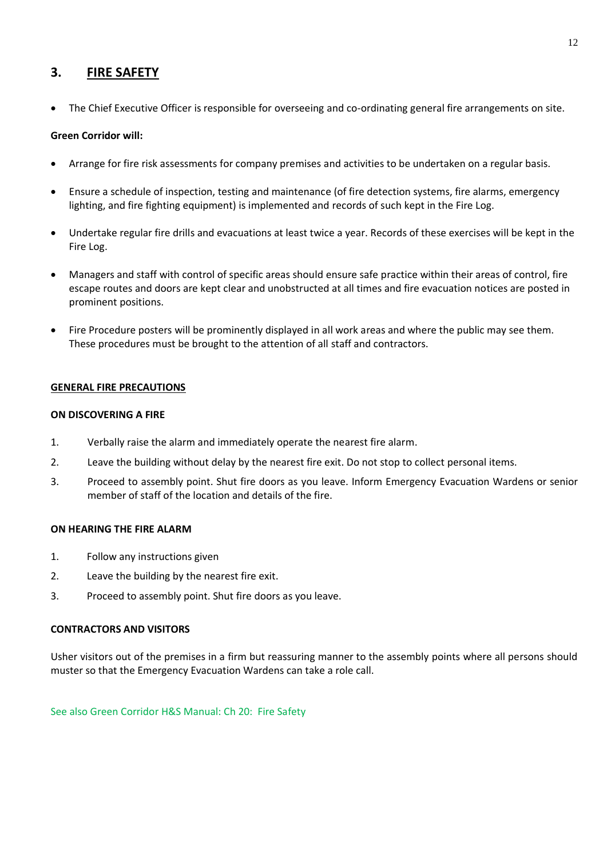### **3. FIRE SAFETY**

• The Chief Executive Officer is responsible for overseeing and co-ordinating general fire arrangements on site.

#### **Green Corridor will:**

- Arrange for fire risk assessments for company premises and activities to be undertaken on a regular basis.
- Ensure a schedule of inspection, testing and maintenance (of fire detection systems, fire alarms, emergency lighting, and fire fighting equipment) is implemented and records of such kept in the Fire Log.
- Undertake regular fire drills and evacuations at least twice a year. Records of these exercises will be kept in the Fire Log.
- Managers and staff with control of specific areas should ensure safe practice within their areas of control, fire escape routes and doors are kept clear and unobstructed at all times and fire evacuation notices are posted in prominent positions.
- Fire Procedure posters will be prominently displayed in all work areas and where the public may see them. These procedures must be brought to the attention of all staff and contractors.

#### **GENERAL FIRE PRECAUTIONS**

#### **ON DISCOVERING A FIRE**

- 1. Verbally raise the alarm and immediately operate the nearest fire alarm.
- 2. Leave the building without delay by the nearest fire exit. Do not stop to collect personal items.
- 3. Proceed to assembly point. Shut fire doors as you leave. Inform Emergency Evacuation Wardens or senior member of staff of the location and details of the fire.

#### **ON HEARING THE FIRE ALARM**

- 1. Follow any instructions given
- 2. Leave the building by the nearest fire exit.
- 3. Proceed to assembly point. Shut fire doors as you leave.

#### **CONTRACTORS AND VISITORS**

Usher visitors out of the premises in a firm but reassuring manner to the assembly points where all persons should muster so that the Emergency Evacuation Wardens can take a role call.

See also Green Corridor H&S Manual: Ch 20: Fire Safety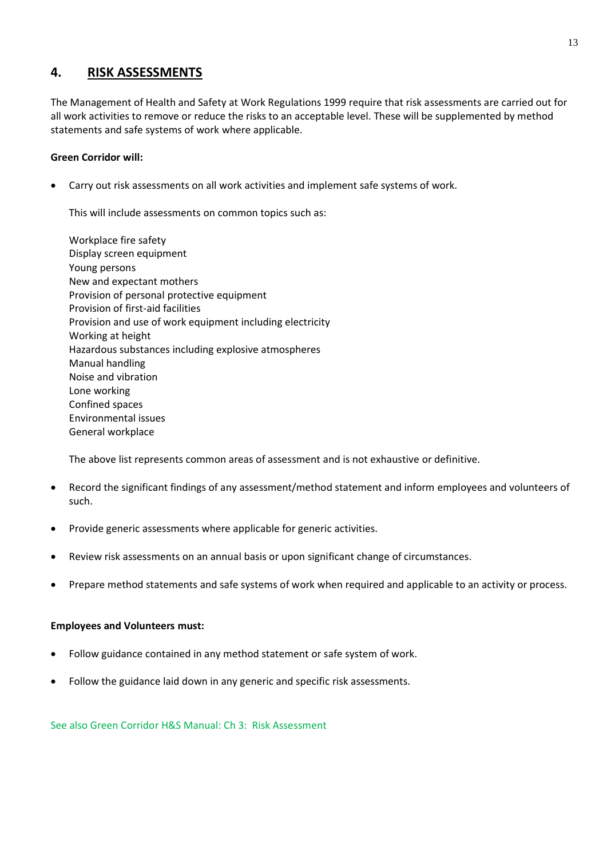### **4. RISK ASSESSMENTS**

The Management of Health and Safety at Work Regulations 1999 require that risk assessments are carried out for all work activities to remove or reduce the risks to an acceptable level. These will be supplemented by method statements and safe systems of work where applicable.

#### **Green Corridor will:**

• Carry out risk assessments on all work activities and implement safe systems of work.

This will include assessments on common topics such as:

Workplace fire safety Display screen equipment Young persons New and expectant mothers Provision of personal protective equipment Provision of first-aid facilities Provision and use of work equipment including electricity Working at height Hazardous substances including explosive atmospheres Manual handling Noise and vibration Lone working Confined spaces Environmental issues General workplace

The above list represents common areas of assessment and is not exhaustive or definitive.

- Record the significant findings of any assessment/method statement and inform employees and volunteers of such.
- Provide generic assessments where applicable for generic activities.
- Review risk assessments on an annual basis or upon significant change of circumstances.
- Prepare method statements and safe systems of work when required and applicable to an activity or process.

#### **Employees and Volunteers must:**

- Follow guidance contained in any method statement or safe system of work.
- Follow the guidance laid down in any generic and specific risk assessments.

See also Green Corridor H&S Manual: Ch 3: Risk Assessment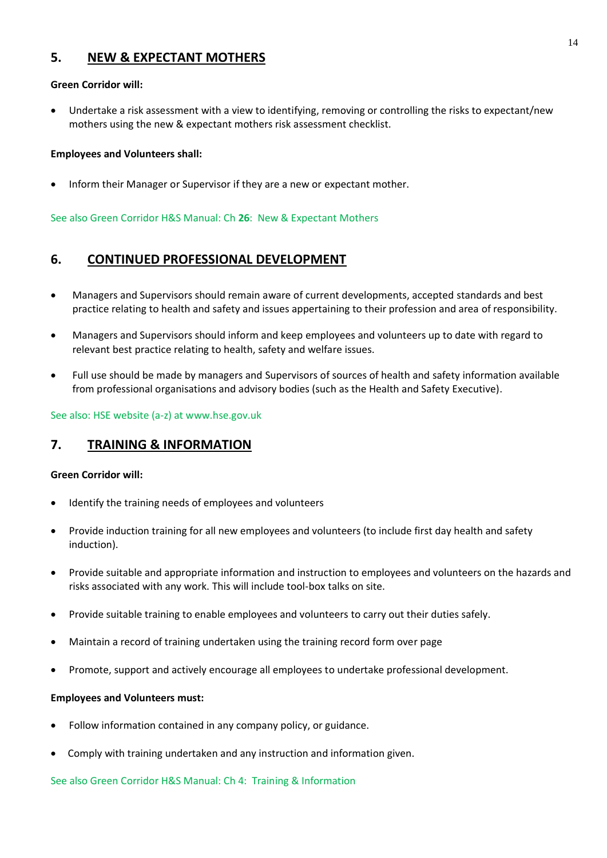# **5. NEW & EXPECTANT MOTHERS**

#### **Green Corridor will:**

• Undertake a risk assessment with a view to identifying, removing or controlling the risks to expectant/new mothers using the new & expectant mothers risk assessment checklist.

#### **Employees and Volunteers shall:**

• Inform their Manager or Supervisor if they are a new or expectant mother.

See also Green Corridor H&S Manual: Ch **26**: New & Expectant Mothers

### **6. CONTINUED PROFESSIONAL DEVELOPMENT**

- Managers and Supervisors should remain aware of current developments, accepted standards and best practice relating to health and safety and issues appertaining to their profession and area of responsibility.
- Managers and Supervisors should inform and keep employees and volunteers up to date with regard to relevant best practice relating to health, safety and welfare issues.
- Full use should be made by managers and Supervisors of sources of health and safety information available from professional organisations and advisory bodies (such as the Health and Safety Executive).

See also: HSE website (a-z) at www.hse.gov.uk

# **7. TRAINING & INFORMATION**

#### **Green Corridor will:**

- Identify the training needs of employees and volunteers
- Provide induction training for all new employees and volunteers (to include first day health and safety induction).
- Provide suitable and appropriate information and instruction to employees and volunteers on the hazards and risks associated with any work. This will include tool-box talks on site.
- Provide suitable training to enable employees and volunteers to carry out their duties safely.
- Maintain a record of training undertaken using the training record form over page
- Promote, support and actively encourage all employees to undertake professional development.

#### **Employees and Volunteers must:**

- Follow information contained in any company policy, or guidance.
- Comply with training undertaken and any instruction and information given.

See also Green Corridor H&S Manual: Ch 4: Training & Information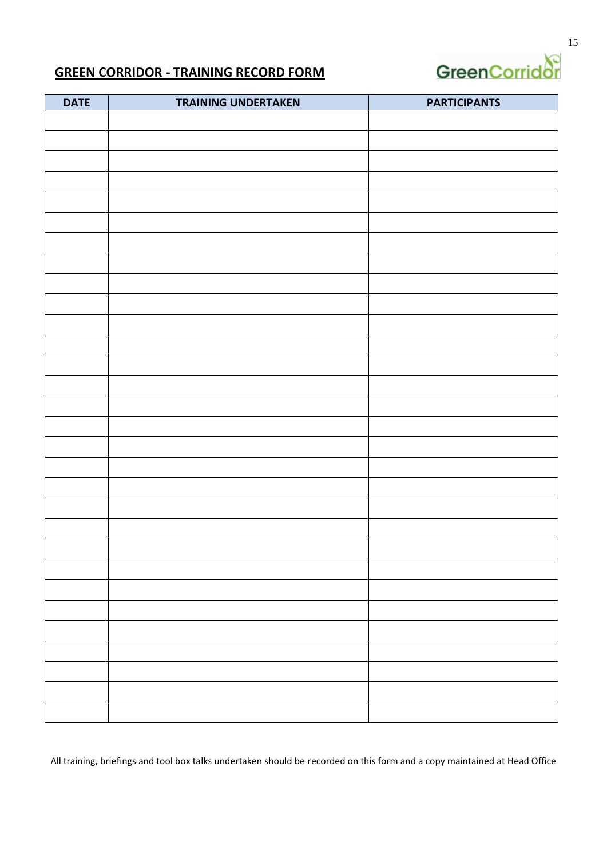

# **GREEN CORRIDOR - TRAINING RECORD FORM**

| <b>DATE</b> | <b>TRAINING UNDERTAKEN</b> | <b>PARTICIPANTS</b> |
|-------------|----------------------------|---------------------|
|             |                            |                     |
|             |                            |                     |
|             |                            |                     |
|             |                            |                     |
|             |                            |                     |
|             |                            |                     |
|             |                            |                     |
|             |                            |                     |
|             |                            |                     |
|             |                            |                     |
|             |                            |                     |
|             |                            |                     |
|             |                            |                     |
|             |                            |                     |
|             |                            |                     |
|             |                            |                     |
|             |                            |                     |
|             |                            |                     |
|             |                            |                     |
|             |                            |                     |
|             |                            |                     |
|             |                            |                     |
|             |                            |                     |
|             |                            |                     |
|             |                            |                     |
|             |                            |                     |
|             |                            |                     |
|             |                            |                     |
|             |                            |                     |
|             |                            |                     |
|             |                            |                     |
|             |                            |                     |

All training, briefings and tool box talks undertaken should be recorded on this form and a copy maintained at Head Office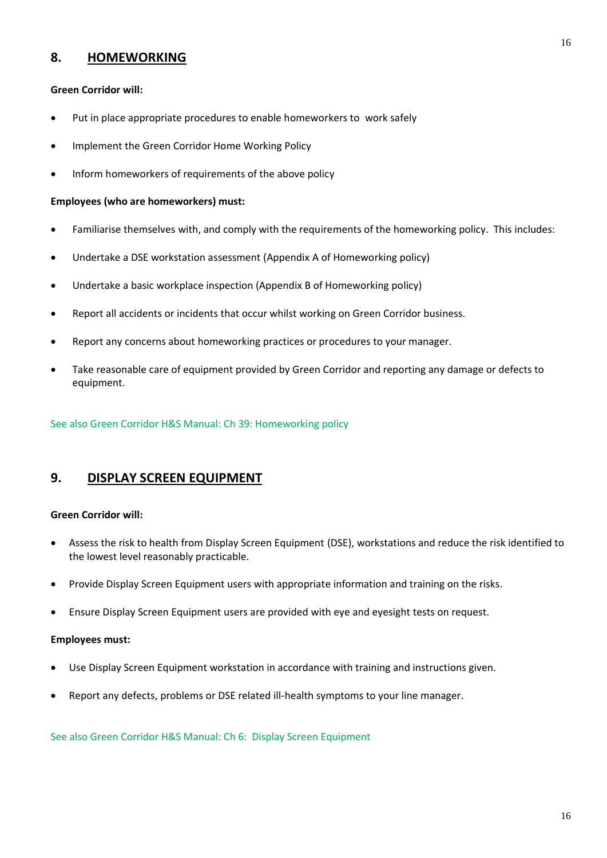# **8. HOMEWORKING**

#### **Green Corridor will:**

- Put in place appropriate procedures to enable homeworkers to work safely
- Implement the Green Corridor Home Working Policy
- Inform homeworkers of requirements of the above policy

#### **Employees (who are homeworkers) must:**

- Familiarise themselves with, and comply with the requirements of the homeworking policy. This includes:
- Undertake a DSE workstation assessment (Appendix A of Homeworking policy)
- Undertake a basic workplace inspection (Appendix B of Homeworking policy)
- Report all accidents or incidents that occur whilst working on Green Corridor business.
- Report any concerns about homeworking practices or procedures to your manager.
- Take reasonable care of equipment provided by Green Corridor and reporting any damage or defects to equipment.

See also Green Corridor H&S Manual: Ch 39: Homeworking policy

#### **9. DISPLAY SCREEN EQUIPMENT**

#### **Green Corridor will:**

- Assess the risk to health from Display Screen Equipment (DSE), workstations and reduce the risk identified to the lowest level reasonably practicable.
- Provide Display Screen Equipment users with appropriate information and training on the risks.
- Ensure Display Screen Equipment users are provided with eye and eyesight tests on request.

#### **Employees must:**

- Use Display Screen Equipment workstation in accordance with training and instructions given.
- Report any defects, problems or DSE related ill-health symptoms to your line manager.

See also Green Corridor H&S Manual: Ch 6: Display Screen Equipment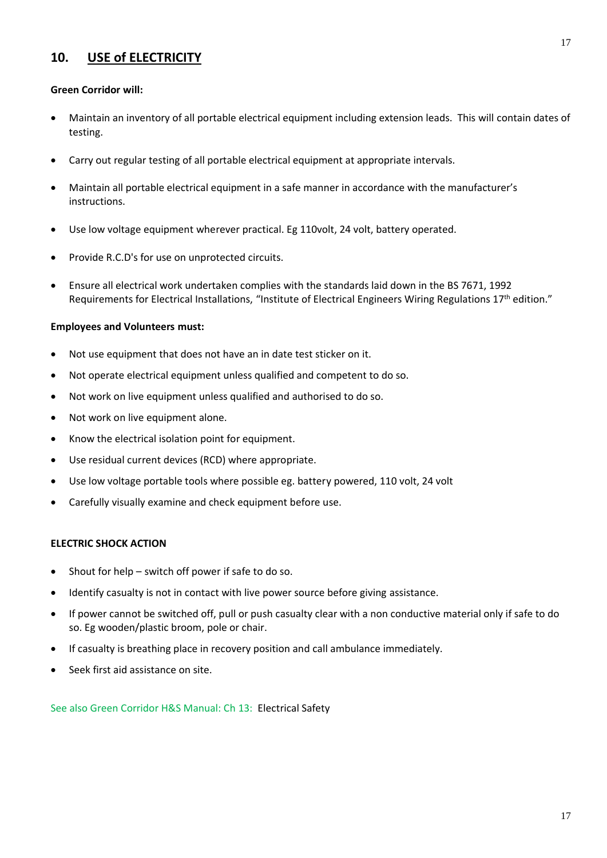# **10. USE of ELECTRICITY**

#### **Green Corridor will:**

- Maintain an inventory of all portable electrical equipment including extension leads. This will contain dates of testing.
- Carry out regular testing of all portable electrical equipment at appropriate intervals.
- Maintain all portable electrical equipment in a safe manner in accordance with the manufacturer's instructions.
- Use low voltage equipment wherever practical. Eg 110volt, 24 volt, battery operated.
- Provide R.C.D's for use on unprotected circuits.
- Ensure all electrical work undertaken complies with the standards laid down in the BS 7671, 1992 Requirements for Electrical Installations, "Institute of Electrical Engineers Wiring Regulations 17<sup>th</sup> edition."

#### **Employees and Volunteers must:**

- Not use equipment that does not have an in date test sticker on it.
- Not operate electrical equipment unless qualified and competent to do so.
- Not work on live equipment unless qualified and authorised to do so.
- Not work on live equipment alone.
- Know the electrical isolation point for equipment.
- Use residual current devices (RCD) where appropriate.
- Use low voltage portable tools where possible eg. battery powered, 110 volt, 24 volt
- Carefully visually examine and check equipment before use.

#### **ELECTRIC SHOCK ACTION**

- Shout for help  $-$  switch off power if safe to do so.
- Identify casualty is not in contact with live power source before giving assistance.
- If power cannot be switched off, pull or push casualty clear with a non conductive material only if safe to do so. Eg wooden/plastic broom, pole or chair.
- If casualty is breathing place in recovery position and call ambulance immediately.
- Seek first aid assistance on site.

See also Green Corridor H&S Manual: Ch 13: Electrical Safety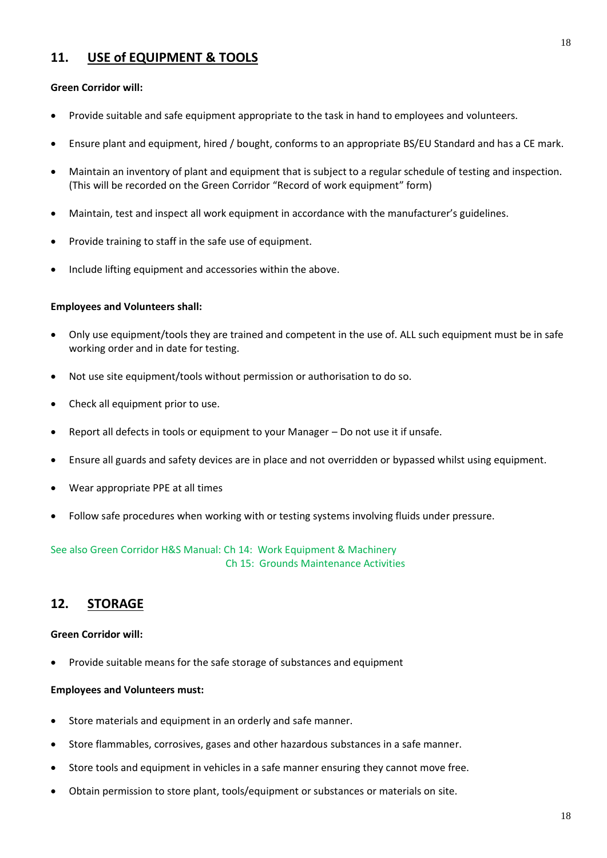# **11. USE of EQUIPMENT & TOOLS**

#### **Green Corridor will:**

- Provide suitable and safe equipment appropriate to the task in hand to employees and volunteers.
- Ensure plant and equipment, hired / bought, conforms to an appropriate BS/EU Standard and has a CE mark.
- Maintain an inventory of plant and equipment that is subject to a regular schedule of testing and inspection. (This will be recorded on the Green Corridor "Record of work equipment" form)
- Maintain, test and inspect all work equipment in accordance with the manufacturer's guidelines.
- Provide training to staff in the safe use of equipment.
- Include lifting equipment and accessories within the above.

#### **Employees and Volunteers shall:**

- Only use equipment/tools they are trained and competent in the use of. ALL such equipment must be in safe working order and in date for testing.
- Not use site equipment/tools without permission or authorisation to do so.
- Check all equipment prior to use.
- Report all defects in tools or equipment to your Manager Do not use it if unsafe.
- Ensure all guards and safety devices are in place and not overridden or bypassed whilst using equipment.
- Wear appropriate PPE at all times
- Follow safe procedures when working with or testing systems involving fluids under pressure.

#### See also Green Corridor H&S Manual: Ch 14: Work Equipment & Machinery Ch 15: Grounds Maintenance Activities

# **12. STORAGE**

#### **Green Corridor will:**

• Provide suitable means for the safe storage of substances and equipment

#### **Employees and Volunteers must:**

- Store materials and equipment in an orderly and safe manner.
- Store flammables, corrosives, gases and other hazardous substances in a safe manner.
- Store tools and equipment in vehicles in a safe manner ensuring they cannot move free.
- Obtain permission to store plant, tools/equipment or substances or materials on site.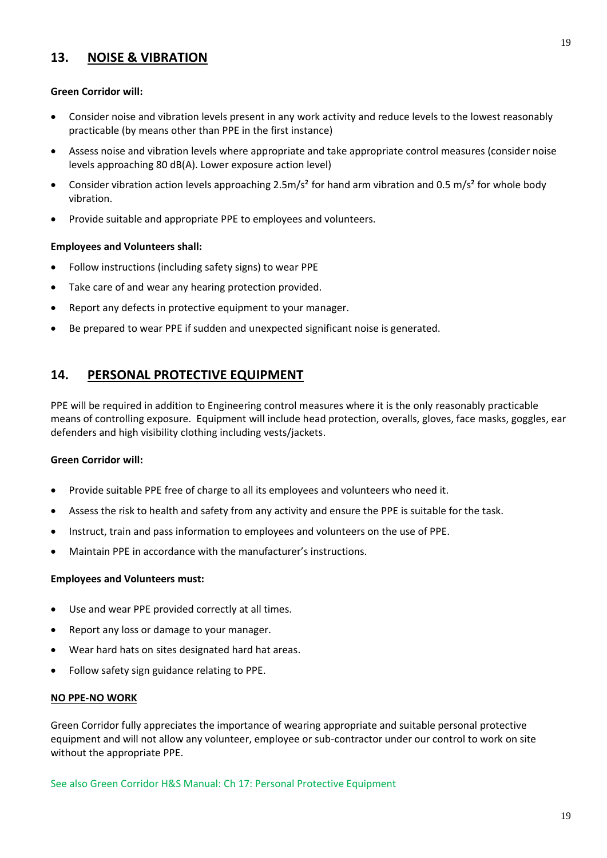# **13. NOISE & VIBRATION**

#### **Green Corridor will:**

- Consider noise and vibration levels present in any work activity and reduce levels to the lowest reasonably practicable (by means other than PPE in the first instance)
- Assess noise and vibration levels where appropriate and take appropriate control measures (consider noise levels approaching 80 dB(A). Lower exposure action level)
- Consider vibration action levels approaching 2.5m/s<sup>2</sup> for hand arm vibration and 0.5 m/s<sup>2</sup> for whole body vibration.
- Provide suitable and appropriate PPE to employees and volunteers.

#### **Employees and Volunteers shall:**

- Follow instructions (including safety signs) to wear PPE
- Take care of and wear any hearing protection provided.
- Report any defects in protective equipment to your manager.
- Be prepared to wear PPE if sudden and unexpected significant noise is generated.

# **14. PERSONAL PROTECTIVE EQUIPMENT**

PPE will be required in addition to Engineering control measures where it is the only reasonably practicable means of controlling exposure. Equipment will include head protection, overalls, gloves, face masks, goggles, ear defenders and high visibility clothing including vests/jackets.

#### **Green Corridor will:**

- Provide suitable PPE free of charge to all its employees and volunteers who need it.
- Assess the risk to health and safety from any activity and ensure the PPE is suitable for the task.
- Instruct, train and pass information to employees and volunteers on the use of PPE.
- Maintain PPE in accordance with the manufacturer's instructions.

#### **Employees and Volunteers must:**

- Use and wear PPE provided correctly at all times.
- Report any loss or damage to your manager.
- Wear hard hats on sites designated hard hat areas.
- Follow safety sign guidance relating to PPE.

#### **NO PPE-NO WORK**

Green Corridor fully appreciates the importance of wearing appropriate and suitable personal protective equipment and will not allow any volunteer, employee or sub-contractor under our control to work on site without the appropriate PPE.

See also Green Corridor H&S Manual: Ch 17: Personal Protective Equipment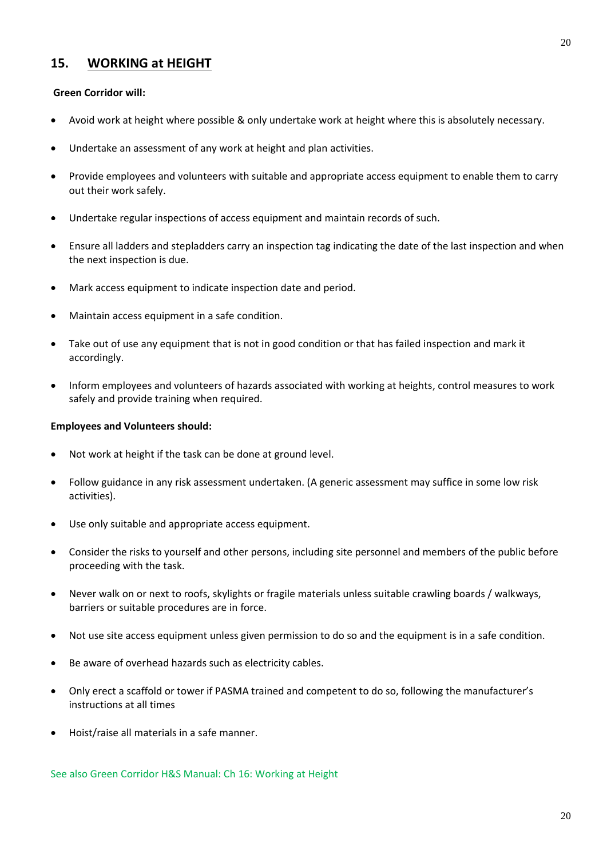### **15. WORKING at HEIGHT**

#### **Green Corridor will:**

- Avoid work at height where possible & only undertake work at height where this is absolutely necessary.
- Undertake an assessment of any work at height and plan activities.
- Provide employees and volunteers with suitable and appropriate access equipment to enable them to carry out their work safely.
- Undertake regular inspections of access equipment and maintain records of such.
- Ensure all ladders and stepladders carry an inspection tag indicating the date of the last inspection and when the next inspection is due.
- Mark access equipment to indicate inspection date and period.
- Maintain access equipment in a safe condition.
- Take out of use any equipment that is not in good condition or that has failed inspection and mark it accordingly.
- Inform employees and volunteers of hazards associated with working at heights, control measures to work safely and provide training when required.

#### **Employees and Volunteers should:**

- Not work at height if the task can be done at ground level.
- Follow guidance in any risk assessment undertaken. (A generic assessment may suffice in some low risk activities).
- Use only suitable and appropriate access equipment.
- Consider the risks to yourself and other persons, including site personnel and members of the public before proceeding with the task.
- Never walk on or next to roofs, skylights or fragile materials unless suitable crawling boards / walkways, barriers or suitable procedures are in force.
- Not use site access equipment unless given permission to do so and the equipment is in a safe condition.
- Be aware of overhead hazards such as electricity cables.
- Only erect a scaffold or tower if PASMA trained and competent to do so, following the manufacturer's instructions at all times
- Hoist/raise all materials in a safe manner.

See also Green Corridor H&S Manual: Ch 16: Working at Height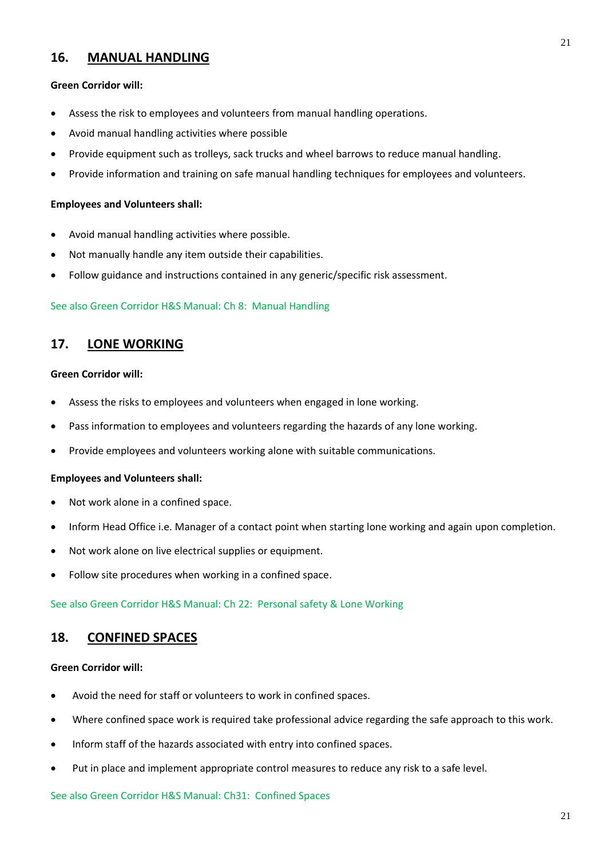### **16. MANUAL HANDLING**

#### **Green Corridor will:**

- Assess the risk to employees and volunteers from manual handling operations.
- Avoid manual handling activities where possible
- Provide equipment such as trolleys, sack trucks and wheel barrows to reduce manual handling.
- Provide information and training on safe manual handling techniques for employees and volunteers.

#### **Employees and Volunteers shall:**

- Avoid manual handling activities where possible.
- Not manually handle any item outside their capabilities.
- Follow guidance and instructions contained in any generic/specific risk assessment.

#### See also Green Corridor H&S Manual: Ch 8: Manual Handling

### **17. LONE WORKING**

#### **Green Corridor will:**

- Assess the risks to employees and volunteers when engaged in lone working.
- Pass information to employees and volunteers regarding the hazards of any lone working.
- Provide employees and volunteers working alone with suitable communications.

#### **Employees and Volunteers shall:**

- Not work alone in a confined space.
- Inform Head Office i.e. Manager of a contact point when starting lone working and again upon completion.
- Not work alone on live electrical supplies or equipment.
- Follow site procedures when working in a confined space.

See also Green Corridor H&S Manual: Ch 22: Personal safety & Lone Working

### **18. CONFINED SPACES**

#### **Green Corridor will:**

- Avoid the need for staff or volunteers to work in confined spaces.
- Where confined space work is required take professional advice regarding the safe approach to this work.
- Inform staff of the hazards associated with entry into confined spaces.
- Put in place and implement appropriate control measures to reduce any risk to a safe level.

See also Green Corridor H&S Manual: Ch31: Confined Spaces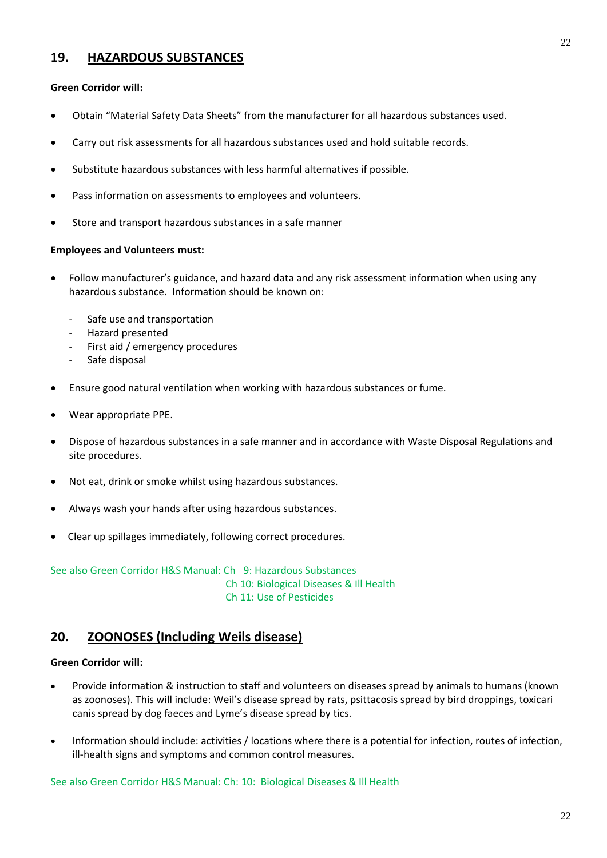# **19. HAZARDOUS SUBSTANCES**

#### **Green Corridor will:**

- Obtain "Material Safety Data Sheets" from the manufacturer for all hazardous substances used.
- Carry out risk assessments for all hazardous substances used and hold suitable records.
- Substitute hazardous substances with less harmful alternatives if possible.
- Pass information on assessments to employees and volunteers.
- Store and transport hazardous substances in a safe manner

#### **Employees and Volunteers must:**

- Follow manufacturer's guidance, and hazard data and any risk assessment information when using any hazardous substance. Information should be known on:
	- Safe use and transportation
	- Hazard presented
	- First aid / emergency procedures
	- Safe disposal
- Ensure good natural ventilation when working with hazardous substances or fume.
- Wear appropriate PPE.
- Dispose of hazardous substances in a safe manner and in accordance with Waste Disposal Regulations and site procedures.
- Not eat, drink or smoke whilst using hazardous substances.
- Always wash your hands after using hazardous substances.
- Clear up spillages immediately, following correct procedures.

See also Green Corridor H&S Manual: Ch 9: Hazardous Substances Ch 10: Biological Diseases & Ill Health Ch 11: Use of Pesticides

# **20. ZOONOSES (Including Weils disease)**

#### **Green Corridor will:**

- Provide information & instruction to staff and volunteers on diseases spread by animals to humans (known as zoonoses). This will include: Weil's disease spread by rats, psittacosis spread by bird droppings, toxicari canis spread by dog faeces and Lyme's disease spread by tics.
- Information should include: activities / locations where there is a potential for infection, routes of infection, ill-health signs and symptoms and common control measures.

See also Green Corridor H&S Manual: Ch: 10: Biological Diseases & Ill Health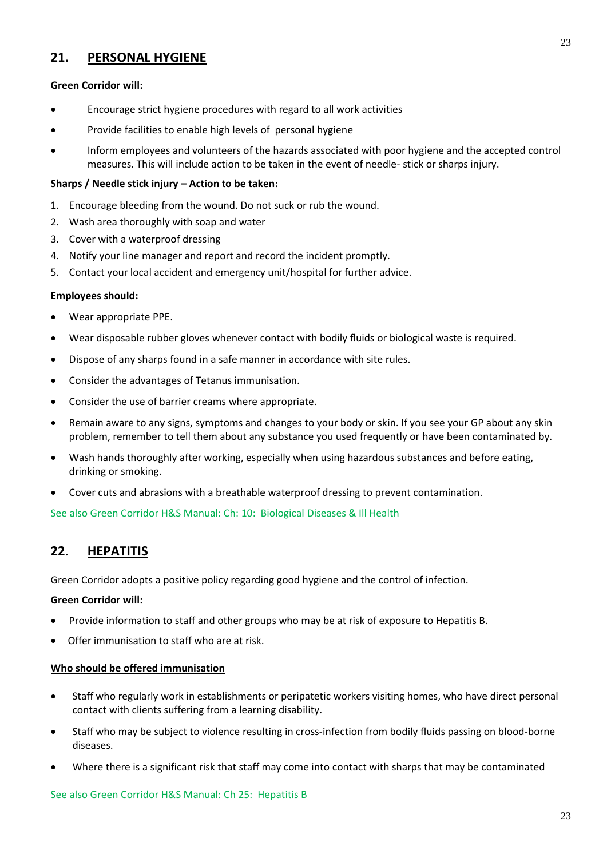# **21. PERSONAL HYGIENE**

### **Green Corridor will:**

- Encourage strict hygiene procedures with regard to all work activities
- Provide facilities to enable high levels of personal hygiene
- Inform employees and volunteers of the hazards associated with poor hygiene and the accepted control measures. This will include action to be taken in the event of needle- stick or sharps injury.

#### **Sharps / Needle stick injury – Action to be taken:**

- 1. Encourage bleeding from the wound. Do not suck or rub the wound.
- 2. Wash area thoroughly with soap and water
- 3. Cover with a waterproof dressing
- 4. Notify your line manager and report and record the incident promptly.
- 5. Contact your local accident and emergency unit/hospital for further advice.

#### **Employees should:**

- Wear appropriate PPE.
- Wear disposable rubber gloves whenever contact with bodily fluids or biological waste is required.
- Dispose of any sharps found in a safe manner in accordance with site rules.
- Consider the advantages of Tetanus immunisation.
- Consider the use of barrier creams where appropriate.
- Remain aware to any signs, symptoms and changes to your body or skin. If you see your GP about any skin problem, remember to tell them about any substance you used frequently or have been contaminated by.
- Wash hands thoroughly after working, especially when using hazardous substances and before eating, drinking or smoking.
- Cover cuts and abrasions with a breathable waterproof dressing to prevent contamination.

See also Green Corridor H&S Manual: Ch: 10: Biological Diseases & Ill Health

# **22**. **HEPATITIS**

Green Corridor adopts a positive policy regarding good hygiene and the control of infection.

#### **Green Corridor will:**

- Provide information to staff and other groups who may be at risk of exposure to Hepatitis B.
- Offer immunisation to staff who are at risk.

#### **Who should be offered immunisation**

- Staff who regularly work in establishments or peripatetic workers visiting homes, who have direct personal contact with clients suffering from a learning disability.
- Staff who may be subject to violence resulting in cross-infection from bodily fluids passing on blood-borne diseases.
- Where there is a significant risk that staff may come into contact with sharps that may be contaminated

See also Green Corridor H&S Manual: Ch 25: Hepatitis B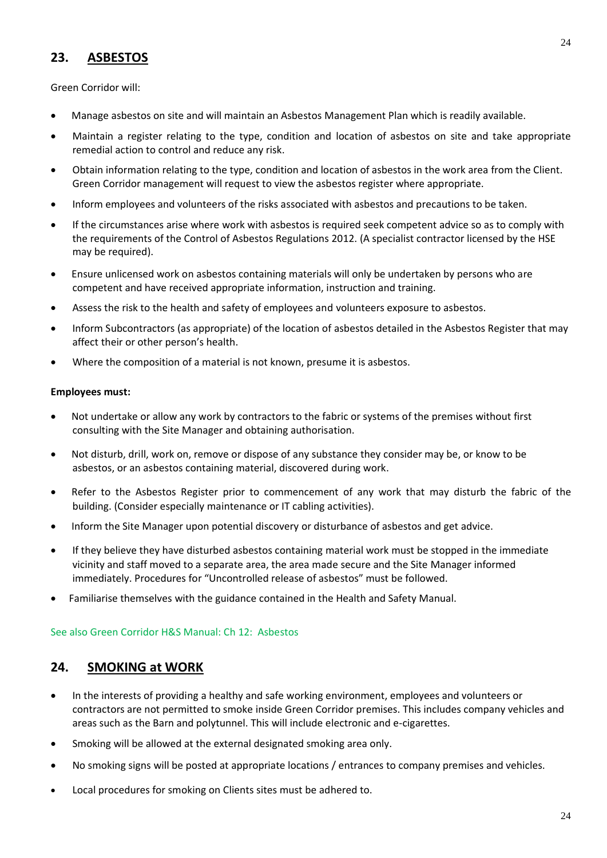# **23. ASBESTOS**

Green Corridor will:

- Manage asbestos on site and will maintain an Asbestos Management Plan which is readily available.
- Maintain a register relating to the type, condition and location of asbestos on site and take appropriate remedial action to control and reduce any risk.
- Obtain information relating to the type, condition and location of asbestos in the work area from the Client. Green Corridor management will request to view the asbestos register where appropriate.
- Inform employees and volunteers of the risks associated with asbestos and precautions to be taken.
- If the circumstances arise where work with asbestos is required seek competent advice so as to comply with the requirements of the Control of Asbestos Regulations 2012. (A specialist contractor licensed by the HSE may be required).
- Ensure unlicensed work on asbestos containing materials will only be undertaken by persons who are competent and have received appropriate information, instruction and training.
- Assess the risk to the health and safety of employees and volunteers exposure to asbestos.
- Inform Subcontractors (as appropriate) of the location of asbestos detailed in the Asbestos Register that may affect their or other person's health.
- Where the composition of a material is not known, presume it is asbestos.

#### **Employees must:**

- Not undertake or allow any work by contractors to the fabric or systems of the premises without first consulting with the Site Manager and obtaining authorisation.
- Not disturb, drill, work on, remove or dispose of any substance they consider may be, or know to be asbestos, or an asbestos containing material, discovered during work.
- Refer to the Asbestos Register prior to commencement of any work that may disturb the fabric of the building. (Consider especially maintenance or IT cabling activities).
- Inform the Site Manager upon potential discovery or disturbance of asbestos and get advice.
- If they believe they have disturbed asbestos containing material work must be stopped in the immediate vicinity and staff moved to a separate area, the area made secure and the Site Manager informed immediately. Procedures for "Uncontrolled release of asbestos" must be followed.
- Familiarise themselves with the guidance contained in the Health and Safety Manual.

#### See also Green Corridor H&S Manual: Ch 12: Asbestos

### **24. SMOKING at WORK**

- In the interests of providing a healthy and safe working environment, employees and volunteers or contractors are not permitted to smoke inside Green Corridor premises. This includes company vehicles and areas such as the Barn and polytunnel. This will include electronic and e-cigarettes.
- Smoking will be allowed at the external designated smoking area only.
- No smoking signs will be posted at appropriate locations / entrances to company premises and vehicles.
- Local procedures for smoking on Clients sites must be adhered to.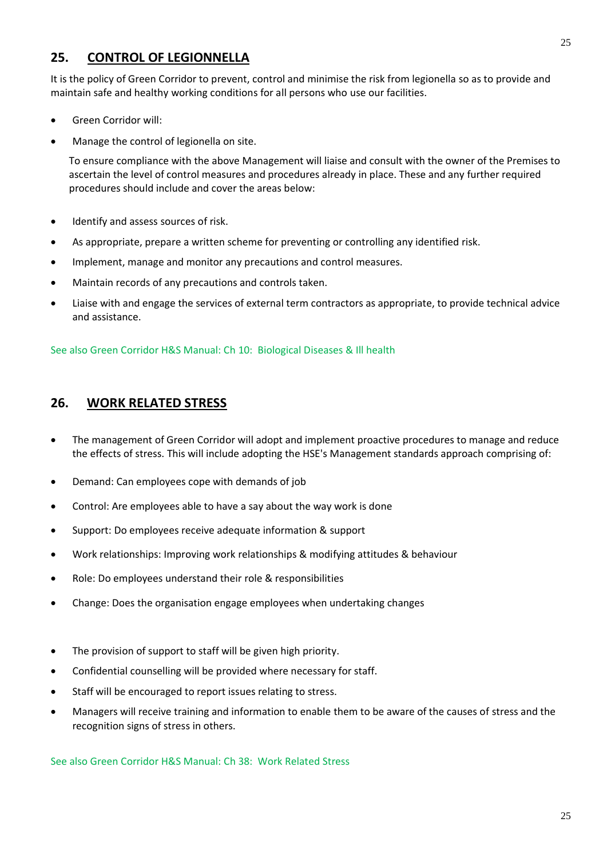# **25. CONTROL OF LEGIONNELLA**

It is the policy of Green Corridor to prevent, control and minimise the risk from legionella so as to provide and maintain safe and healthy working conditions for all persons who use our facilities.

- Green Corridor will:
- Manage the control of legionella on site.

To ensure compliance with the above Management will liaise and consult with the owner of the Premises to ascertain the level of control measures and procedures already in place. These and any further required procedures should include and cover the areas below:

- Identify and assess sources of risk.
- As appropriate, prepare a written scheme for preventing or controlling any identified risk.
- Implement, manage and monitor any precautions and control measures.
- Maintain records of any precautions and controls taken.
- Liaise with and engage the services of external term contractors as appropriate, to provide technical advice and assistance.

See also Green Corridor H&S Manual: Ch 10: Biological Diseases & Ill health

### **26. WORK RELATED STRESS**

- The management of Green Corridor will adopt and implement proactive procedures to manage and reduce the effects of stress. This will include adopting the HSE's Management standards approach comprising of:
- Demand: Can employees cope with demands of job
- Control: Are employees able to have a say about the way work is done
- Support: Do employees receive adequate information & support
- Work relationships: Improving work relationships & modifying attitudes & behaviour
- Role: Do employees understand their role & responsibilities
- Change: Does the organisation engage employees when undertaking changes
- The provision of support to staff will be given high priority.
- Confidential counselling will be provided where necessary for staff.
- Staff will be encouraged to report issues relating to stress.
- Managers will receive training and information to enable them to be aware of the causes of stress and the recognition signs of stress in others.

See also Green Corridor H&S Manual: Ch 38: Work Related Stress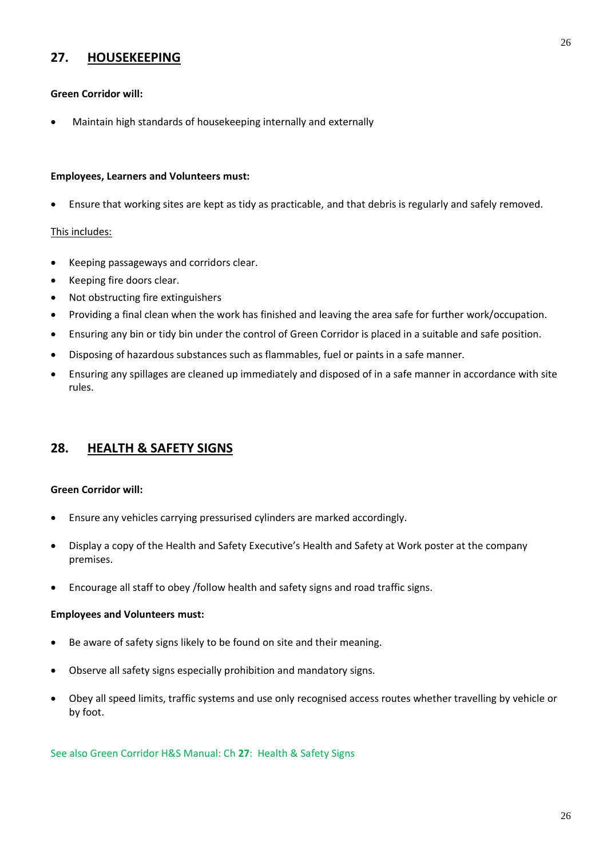# **27. HOUSEKEEPING**

#### **Green Corridor will:**

• Maintain high standards of housekeeping internally and externally

#### **Employees, Learners and Volunteers must:**

• Ensure that working sites are kept as tidy as practicable, and that debris is regularly and safely removed.

#### This includes:

- Keeping passageways and corridors clear.
- Keeping fire doors clear.
- Not obstructing fire extinguishers
- Providing a final clean when the work has finished and leaving the area safe for further work/occupation.
- Ensuring any bin or tidy bin under the control of Green Corridor is placed in a suitable and safe position.
- Disposing of hazardous substances such as flammables, fuel or paints in a safe manner.
- Ensuring any spillages are cleaned up immediately and disposed of in a safe manner in accordance with site rules.

### **28. HEALTH & SAFETY SIGNS**

#### **Green Corridor will:**

- Ensure any vehicles carrying pressurised cylinders are marked accordingly.
- Display a copy of the Health and Safety Executive's Health and Safety at Work poster at the company premises.
- Encourage all staff to obey /follow health and safety signs and road traffic signs.

#### **Employees and Volunteers must:**

- Be aware of safety signs likely to be found on site and their meaning.
- Observe all safety signs especially prohibition and mandatory signs.
- Obey all speed limits, traffic systems and use only recognised access routes whether travelling by vehicle or by foot.

See also Green Corridor H&S Manual: Ch **27**: Health & Safety Signs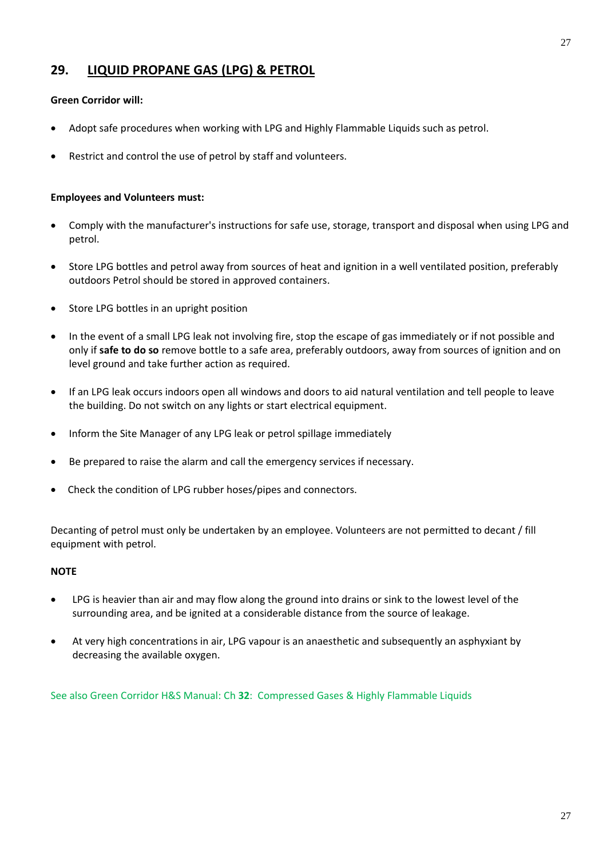# **29. LIQUID PROPANE GAS (LPG) & PETROL**

#### **Green Corridor will:**

- Adopt safe procedures when working with LPG and Highly Flammable Liquids such as petrol.
- Restrict and control the use of petrol by staff and volunteers.

#### **Employees and Volunteers must:**

- Comply with the manufacturer's instructions for safe use, storage, transport and disposal when using LPG and petrol.
- Store LPG bottles and petrol away from sources of heat and ignition in a well ventilated position, preferably outdoors Petrol should be stored in approved containers.
- Store LPG bottles in an upright position
- In the event of a small LPG leak not involving fire, stop the escape of gas immediately or if not possible and only if **safe to do so** remove bottle to a safe area, preferably outdoors, away from sources of ignition and on level ground and take further action as required.
- If an LPG leak occurs indoors open all windows and doors to aid natural ventilation and tell people to leave the building. Do not switch on any lights or start electrical equipment.
- Inform the Site Manager of any LPG leak or petrol spillage immediately
- Be prepared to raise the alarm and call the emergency services if necessary.
- Check the condition of LPG rubber hoses/pipes and connectors.

Decanting of petrol must only be undertaken by an employee. Volunteers are not permitted to decant / fill equipment with petrol.

#### **NOTE**

- LPG is heavier than air and may flow along the ground into drains or sink to the lowest level of the surrounding area, and be ignited at a considerable distance from the source of leakage.
- At very high concentrations in air, LPG vapour is an anaesthetic and subsequently an asphyxiant by decreasing the available oxygen.

See also Green Corridor H&S Manual: Ch **32**: Compressed Gases & Highly Flammable Liquids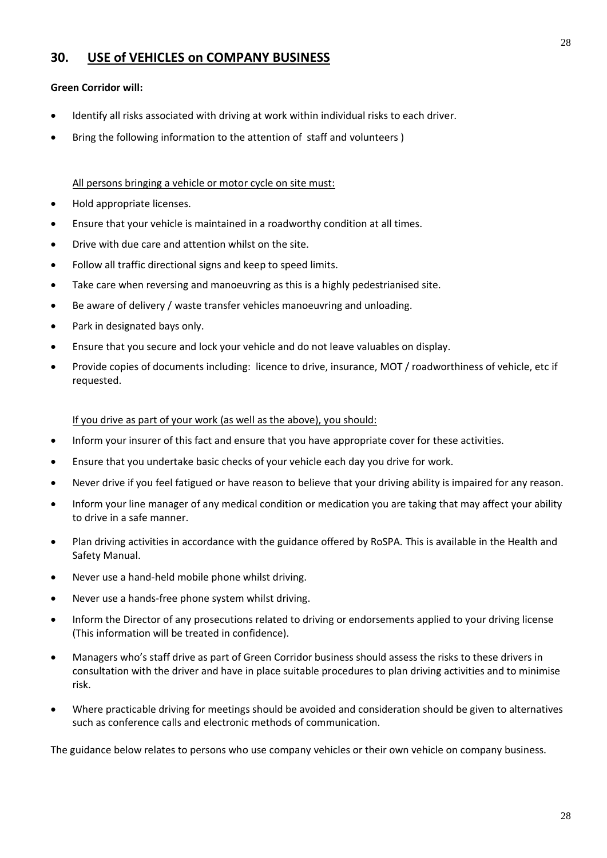# **30. USE of VEHICLES on COMPANY BUSINESS**

#### **Green Corridor will:**

- Identify all risks associated with driving at work within individual risks to each driver.
- Bring the following information to the attention of staff and volunteers )

#### All persons bringing a vehicle or motor cycle on site must:

- Hold appropriate licenses.
- Ensure that your vehicle is maintained in a roadworthy condition at all times.
- Drive with due care and attention whilst on the site.
- Follow all traffic directional signs and keep to speed limits.
- Take care when reversing and manoeuvring as this is a highly pedestrianised site.
- Be aware of delivery / waste transfer vehicles manoeuvring and unloading.
- Park in designated bays only.
- Ensure that you secure and lock your vehicle and do not leave valuables on display.
- Provide copies of documents including: licence to drive, insurance, MOT / roadworthiness of vehicle, etc if requested.

#### If you drive as part of your work (as well as the above), you should:

- Inform your insurer of this fact and ensure that you have appropriate cover for these activities.
- Ensure that you undertake basic checks of your vehicle each day you drive for work.
- Never drive if you feel fatigued or have reason to believe that your driving ability is impaired for any reason.
- Inform your line manager of any medical condition or medication you are taking that may affect your ability to drive in a safe manner.
- Plan driving activities in accordance with the guidance offered by RoSPA. This is available in the Health and Safety Manual.
- Never use a hand-held mobile phone whilst driving.
- Never use a hands-free phone system whilst driving.
- Inform the Director of any prosecutions related to driving or endorsements applied to your driving license (This information will be treated in confidence).
- Managers who's staff drive as part of Green Corridor business should assess the risks to these drivers in consultation with the driver and have in place suitable procedures to plan driving activities and to minimise risk.
- Where practicable driving for meetings should be avoided and consideration should be given to alternatives such as conference calls and electronic methods of communication.

The guidance below relates to persons who use company vehicles or their own vehicle on company business.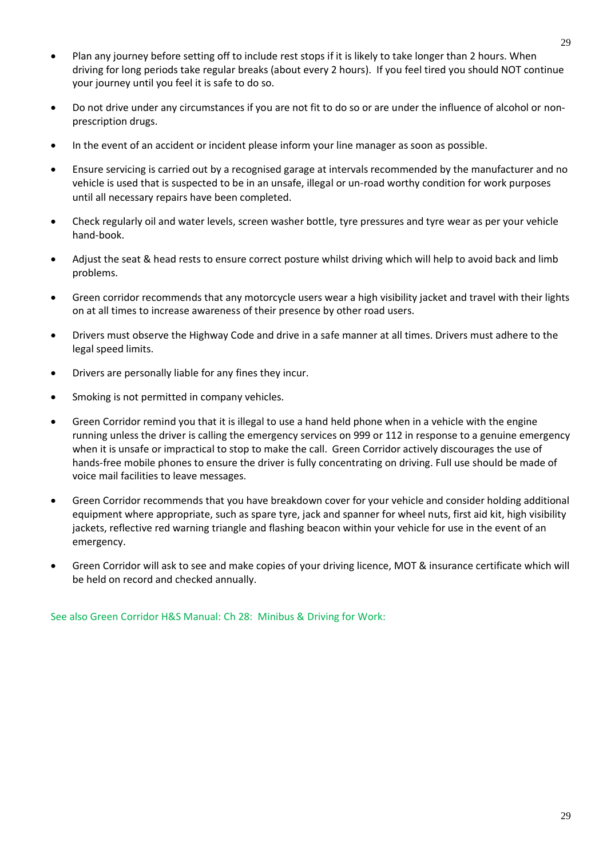- Plan any journey before setting off to include rest stops if it is likely to take longer than 2 hours. When driving for long periods take regular breaks (about every 2 hours). If you feel tired you should NOT continue your journey until you feel it is safe to do so.
- Do not drive under any circumstances if you are not fit to do so or are under the influence of alcohol or nonprescription drugs.
- In the event of an accident or incident please inform your line manager as soon as possible.
- Ensure servicing is carried out by a recognised garage at intervals recommended by the manufacturer and no vehicle is used that is suspected to be in an unsafe, illegal or un-road worthy condition for work purposes until all necessary repairs have been completed.
- Check regularly oil and water levels, screen washer bottle, tyre pressures and tyre wear as per your vehicle hand-book.
- Adjust the seat & head rests to ensure correct posture whilst driving which will help to avoid back and limb problems.
- Green corridor recommends that any motorcycle users wear a high visibility jacket and travel with their lights on at all times to increase awareness of their presence by other road users.
- Drivers must observe the Highway Code and drive in a safe manner at all times. Drivers must adhere to the legal speed limits.
- Drivers are personally liable for any fines they incur.
- Smoking is not permitted in company vehicles.
- Green Corridor remind you that it is illegal to use a hand held phone when in a vehicle with the engine running unless the driver is calling the emergency services on 999 or 112 in response to a genuine emergency when it is unsafe or impractical to stop to make the call. Green Corridor actively discourages the use of hands-free mobile phones to ensure the driver is fully concentrating on driving. Full use should be made of voice mail facilities to leave messages.
- Green Corridor recommends that you have breakdown cover for your vehicle and consider holding additional equipment where appropriate, such as spare tyre, jack and spanner for wheel nuts, first aid kit, high visibility jackets, reflective red warning triangle and flashing beacon within your vehicle for use in the event of an emergency.
- Green Corridor will ask to see and make copies of your driving licence, MOT & insurance certificate which will be held on record and checked annually.

See also Green Corridor H&S Manual: Ch 28: Minibus & Driving for Work: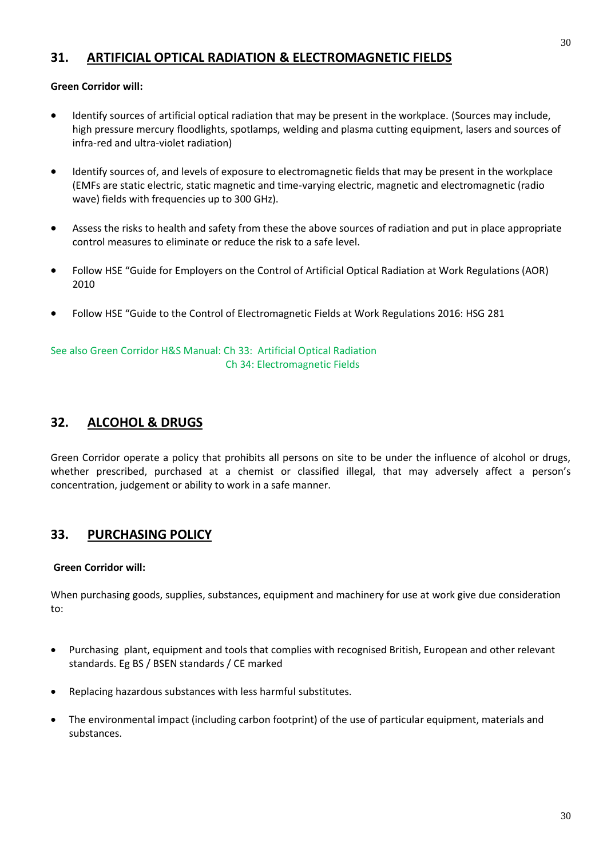# **31. ARTIFICIAL OPTICAL RADIATION & ELECTROMAGNETIC FIELDS**

#### **Green Corridor will:**

- Identify sources of artificial optical radiation that may be present in the workplace. (Sources may include, high pressure mercury floodlights, spotlamps, welding and plasma cutting equipment, lasers and sources of infra-red and ultra-violet radiation)
- Identify sources of, and levels of exposure to electromagnetic fields that may be present in the workplace (EMFs are static electric, static magnetic and time-varying electric, magnetic and electromagnetic (radio wave) fields with frequencies up to 300 GHz).
- Assess the risks to health and safety from these the above sources of radiation and put in place appropriate control measures to eliminate or reduce the risk to a safe level.
- Follow HSE "Guide for Employers on the Control of Artificial Optical Radiation at Work Regulations (AOR) 2010
- Follow HSE "Guide to the Control of Electromagnetic Fields at Work Regulations 2016: HSG 281

See also Green Corridor H&S Manual: Ch 33: Artificial Optical Radiation Ch 34: Electromagnetic Fields

# **32. ALCOHOL & DRUGS**

Green Corridor operate a policy that prohibits all persons on site to be under the influence of alcohol or drugs, whether prescribed, purchased at a chemist or classified illegal, that may adversely affect a person's concentration, judgement or ability to work in a safe manner.

# **33. PURCHASING POLICY**

#### **Green Corridor will:**

When purchasing goods, supplies, substances, equipment and machinery for use at work give due consideration to:

- Purchasing plant, equipment and tools that complies with recognised British, European and other relevant standards. Eg BS / BSEN standards / CE marked
- Replacing hazardous substances with less harmful substitutes.
- The environmental impact (including carbon footprint) of the use of particular equipment, materials and substances.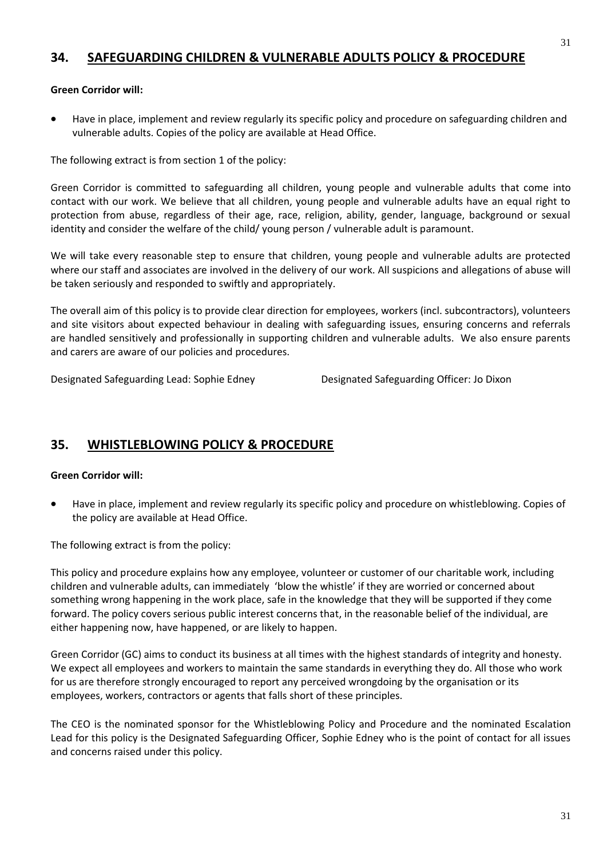# **34. SAFEGUARDING CHILDREN & VULNERABLE ADULTS POLICY & PROCEDURE**

#### **Green Corridor will:**

• Have in place, implement and review regularly its specific policy and procedure on safeguarding children and vulnerable adults. Copies of the policy are available at Head Office.

The following extract is from section 1 of the policy:

Green Corridor is committed to safeguarding all children, young people and vulnerable adults that come into contact with our work. We believe that all children, young people and vulnerable adults have an equal right to protection from abuse, regardless of their age, race, religion, ability, gender, language, background or sexual identity and consider the welfare of the child/ young person / vulnerable adult is paramount.

We will take every reasonable step to ensure that children, young people and vulnerable adults are protected where our staff and associates are involved in the delivery of our work. All suspicions and allegations of abuse will be taken seriously and responded to swiftly and appropriately.

The overall aim of this policy is to provide clear direction for employees, workers (incl. subcontractors), volunteers and site visitors about expected behaviour in dealing with safeguarding issues, ensuring concerns and referrals are handled sensitively and professionally in supporting children and vulnerable adults. We also ensure parents and carers are aware of our policies and procedures.

Designated Safeguarding Lead: Sophie Edney Designated Safeguarding Officer: Jo Dixon

# **35. WHISTLEBLOWING POLICY & PROCEDURE**

#### **Green Corridor will:**

• Have in place, implement and review regularly its specific policy and procedure on whistleblowing. Copies of the policy are available at Head Office.

The following extract is from the policy:

This policy and procedure explains how any employee, volunteer or customer of our charitable work, including children and vulnerable adults, can immediately 'blow the whistle' if they are worried or concerned about something wrong happening in the work place, safe in the knowledge that they will be supported if they come forward. The policy covers serious public interest concerns that, in the reasonable belief of the individual, are either happening now, have happened, or are likely to happen.

Green Corridor (GC) aims to conduct its business at all times with the highest standards of integrity and honesty. We expect all employees and workers to maintain the same standards in everything they do. All those who work for us are therefore strongly encouraged to report any perceived wrongdoing by the organisation or its employees, workers, contractors or agents that falls short of these principles.

The CEO is the nominated sponsor for the Whistleblowing Policy and Procedure and the nominated Escalation Lead for this policy is the Designated Safeguarding Officer, Sophie Edney who is the point of contact for all issues and concerns raised under this policy.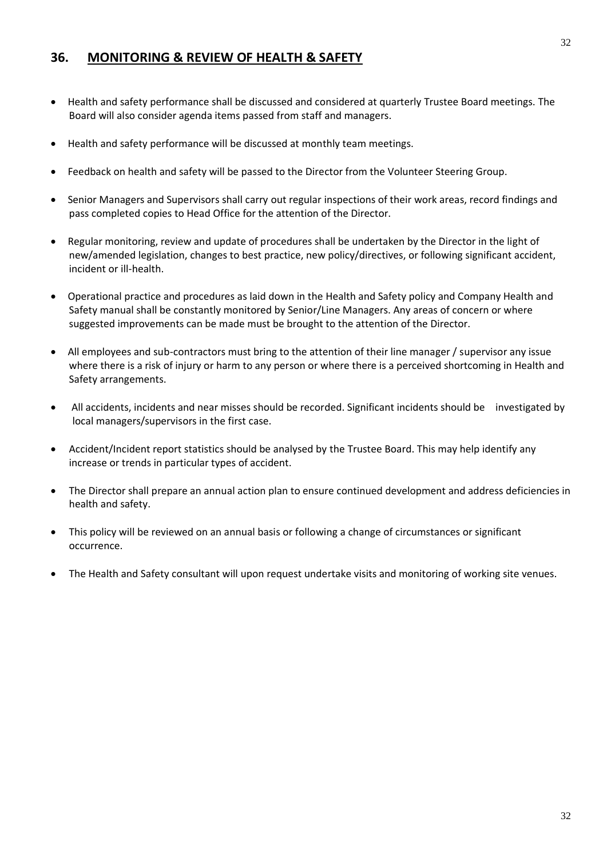# **36. MONITORING & REVIEW OF HEALTH & SAFETY**

- Health and safety performance shall be discussed and considered at quarterly Trustee Board meetings. The Board will also consider agenda items passed from staff and managers.
- Health and safety performance will be discussed at monthly team meetings.
- Feedback on health and safety will be passed to the Director from the Volunteer Steering Group.
- Senior Managers and Supervisors shall carry out regular inspections of their work areas, record findings and pass completed copies to Head Office for the attention of the Director.
- Regular monitoring, review and update of procedures shall be undertaken by the Director in the light of new/amended legislation, changes to best practice, new policy/directives, or following significant accident, incident or ill-health.
- Operational practice and procedures as laid down in the Health and Safety policy and Company Health and Safety manual shall be constantly monitored by Senior/Line Managers. Any areas of concern or where suggested improvements can be made must be brought to the attention of the Director.
- All employees and sub-contractors must bring to the attention of their line manager / supervisor any issue where there is a risk of injury or harm to any person or where there is a perceived shortcoming in Health and Safety arrangements.
- All accidents, incidents and near misses should be recorded. Significant incidents should be investigated by local managers/supervisors in the first case.
- Accident/Incident report statistics should be analysed by the Trustee Board. This may help identify any increase or trends in particular types of accident.
- The Director shall prepare an annual action plan to ensure continued development and address deficiencies in health and safety.
- This policy will be reviewed on an annual basis or following a change of circumstances or significant occurrence.
- The Health and Safety consultant will upon request undertake visits and monitoring of working site venues.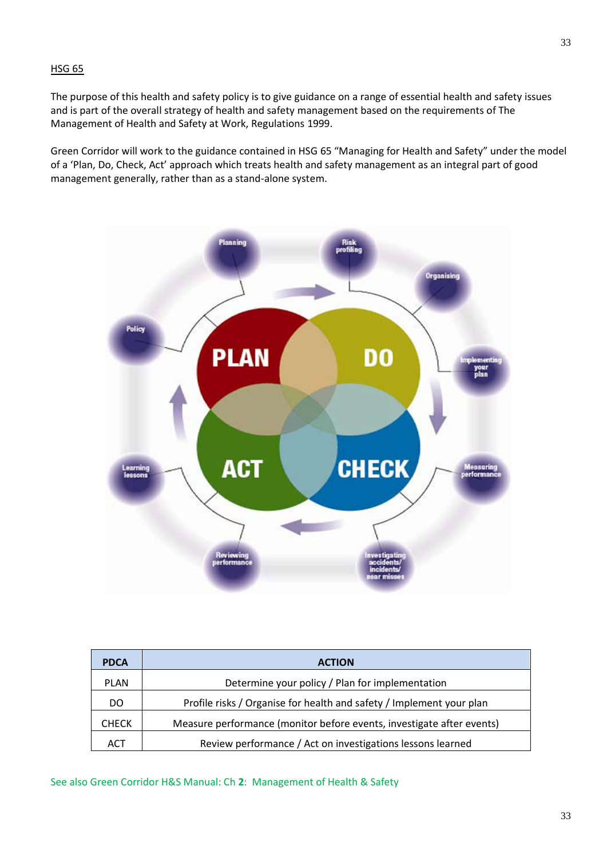#### HSG 65

The purpose of this health and safety policy is to give guidance on a range of essential health and safety issues and is part of the overall strategy of health and safety management based on the requirements of The Management of Health and Safety at Work, Regulations 1999.

Green Corridor will work to the guidance contained in HSG 65 "Managing for Health and Safety" under the model of a 'Plan, Do, Check, Act' approach which treats health and safety management as an integral part of good management generally, rather than as a stand-alone system.



| <b>PDCA</b>  | <b>ACTION</b>                                                         |
|--------------|-----------------------------------------------------------------------|
| <b>PLAN</b>  | Determine your policy / Plan for implementation                       |
| DO           | Profile risks / Organise for health and safety / Implement your plan  |
| <b>CHECK</b> | Measure performance (monitor before events, investigate after events) |
| ACT          | Review performance / Act on investigations lessons learned            |

See also Green Corridor H&S Manual: Ch **2**: Management of Health & Safety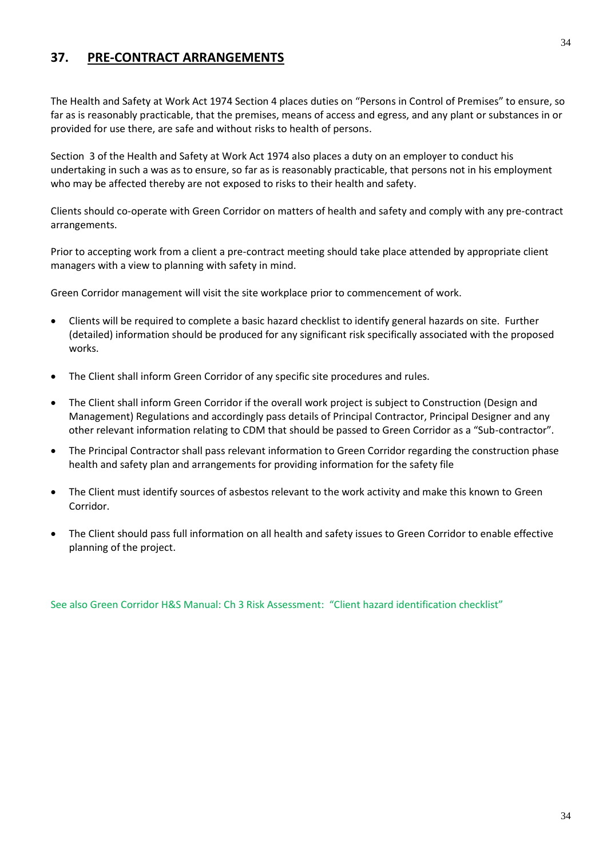# **37. PRE-CONTRACT ARRANGEMENTS**

The Health and Safety at Work Act 1974 Section 4 places duties on "Persons in Control of Premises" to ensure, so far as is reasonably practicable, that the premises, means of access and egress, and any plant or substances in or provided for use there, are safe and without risks to health of persons.

Section 3 of the Health and Safety at Work Act 1974 also places a duty on an employer to conduct his undertaking in such a was as to ensure, so far as is reasonably practicable, that persons not in his employment who may be affected thereby are not exposed to risks to their health and safety.

Clients should co-operate with Green Corridor on matters of health and safety and comply with any pre-contract arrangements.

Prior to accepting work from a client a pre-contract meeting should take place attended by appropriate client managers with a view to planning with safety in mind.

Green Corridor management will visit the site workplace prior to commencement of work.

- Clients will be required to complete a basic hazard checklist to identify general hazards on site. Further (detailed) information should be produced for any significant risk specifically associated with the proposed works.
- The Client shall inform Green Corridor of any specific site procedures and rules.
- The Client shall inform Green Corridor if the overall work project is subject to Construction (Design and Management) Regulations and accordingly pass details of Principal Contractor, Principal Designer and any other relevant information relating to CDM that should be passed to Green Corridor as a "Sub-contractor".
- The Principal Contractor shall pass relevant information to Green Corridor regarding the construction phase health and safety plan and arrangements for providing information for the safety file
- The Client must identify sources of asbestos relevant to the work activity and make this known to Green Corridor.
- The Client should pass full information on all health and safety issues to Green Corridor to enable effective planning of the project.

See also Green Corridor H&S Manual: Ch 3 Risk Assessment: "Client hazard identification checklist"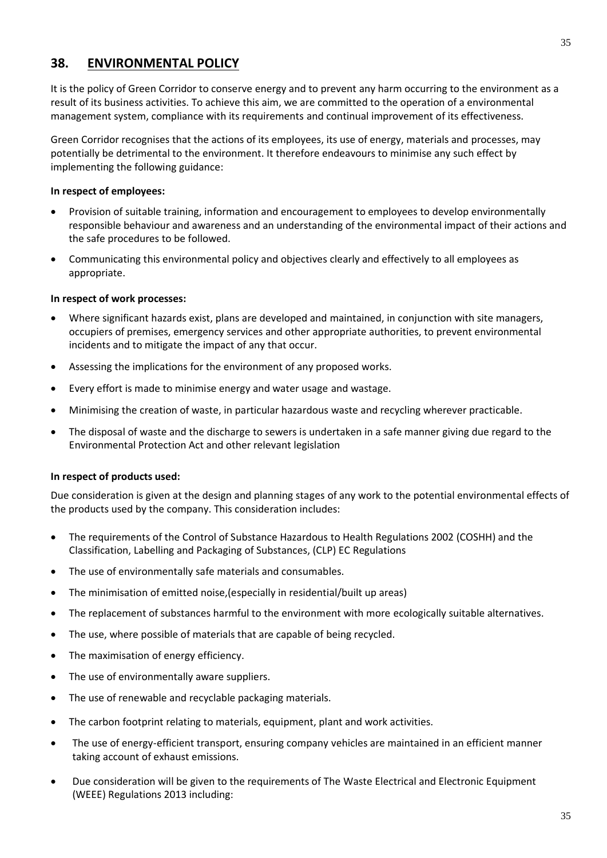# **38. ENVIRONMENTAL POLICY**

It is the policy of Green Corridor to conserve energy and to prevent any harm occurring to the environment as a result of its business activities. To achieve this aim, we are committed to the operation of a environmental management system, compliance with its requirements and continual improvement of its effectiveness.

Green Corridor recognises that the actions of its employees, its use of energy, materials and processes, may potentially be detrimental to the environment. It therefore endeavours to minimise any such effect by implementing the following guidance:

#### **In respect of employees:**

- Provision of suitable training, information and encouragement to employees to develop environmentally responsible behaviour and awareness and an understanding of the environmental impact of their actions and the safe procedures to be followed.
- Communicating this environmental policy and objectives clearly and effectively to all employees as appropriate.

#### **In respect of work processes:**

- Where significant hazards exist, plans are developed and maintained, in conjunction with site managers, occupiers of premises, emergency services and other appropriate authorities, to prevent environmental incidents and to mitigate the impact of any that occur.
- Assessing the implications for the environment of any proposed works.
- Every effort is made to minimise energy and water usage and wastage.
- Minimising the creation of waste, in particular hazardous waste and recycling wherever practicable.
- The disposal of waste and the discharge to sewers is undertaken in a safe manner giving due regard to the Environmental Protection Act and other relevant legislation

#### **In respect of products used:**

Due consideration is given at the design and planning stages of any work to the potential environmental effects of the products used by the company. This consideration includes:

- The requirements of the Control of Substance Hazardous to Health Regulations 2002 (COSHH) and the Classification, Labelling and Packaging of Substances, (CLP) EC Regulations
- The use of environmentally safe materials and consumables.
- The minimisation of emitted noise,(especially in residential/built up areas)
- The replacement of substances harmful to the environment with more ecologically suitable alternatives.
- The use, where possible of materials that are capable of being recycled.
- The maximisation of energy efficiency.
- The use of environmentally aware suppliers.
- The use of renewable and recyclable packaging materials.
- The carbon footprint relating to materials, equipment, plant and work activities.
- The use of energy-efficient transport, ensuring company vehicles are maintained in an efficient manner taking account of exhaust emissions.
- Due consideration will be given to the requirements of The [Waste Electrical and Electronic Equipment](http://www.opsi.gov.uk/si/si2006/20063289.htm#sch2)  [\(WEEE\) Regulations 201](http://www.opsi.gov.uk/si/si2006/20063289.htm#sch2)3 including: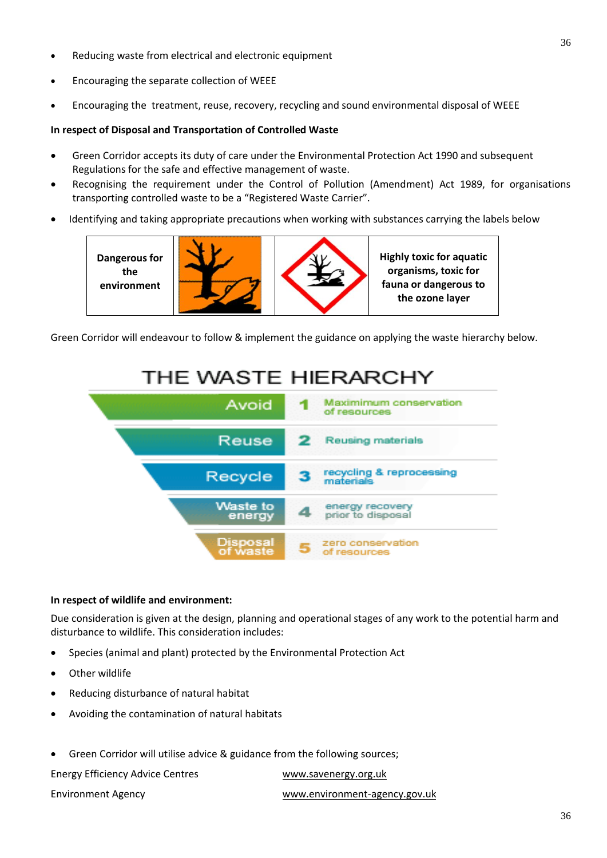- Reducing waste from electrical and electronic equipment
- Encouraging the separate collection of WEEE
- Encouraging the treatment, reuse, recovery, recycling and sound environmental disposal of WEEE

#### **In respect of Disposal and Transportation of Controlled Waste**

- Green Corridor accepts its duty of care under the Environmental Protection Act 1990 and subsequent Regulations for the safe and effective management of waste.
- Recognising the requirement under the Control of Pollution (Amendment) Act 1989, for organisations transporting controlled waste to be a "Registered Waste Carrier".
- Identifying and taking appropriate precautions when working with substances carrying the labels below



Green Corridor will endeavour to follow & implement the guidance on applying the waste hierarchy below.

#### THE WASTE HIERARCHY Maximimum conservation Avoid of resources Reusing materials Reuse 2 recycling & reprocessing Recycle materia Waste to energy recovery prior to disposal energy zero conservation of resources

#### **In respect of wildlife and environment:**

Due consideration is given at the design, planning and operational stages of any work to the potential harm and disturbance to wildlife. This consideration includes:

- Species (animal and plant) protected by the Environmental Protection Act
- Other wildlife
- Reducing disturbance of natural habitat
- Avoiding the contamination of natural habitats
- Green Corridor will utilise advice & guidance from the following sources;

Energy Efficiency Advice Centres [www.savenergy.org.uk](http://www.savenergy.org.uk/)

Environment Agency [www.environment-agency.gov.uk](http://www.environment-agency.gov.uk/)